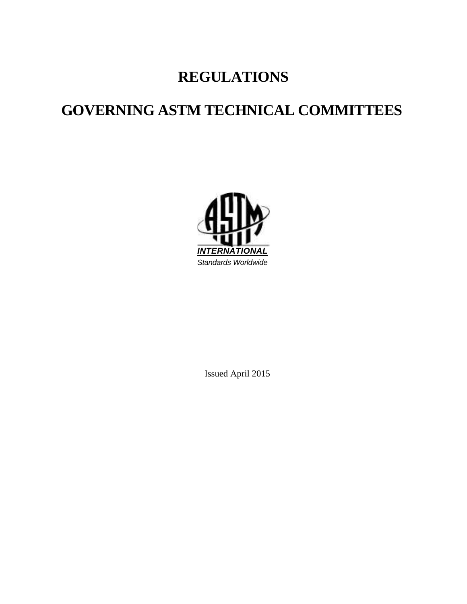# **REGULATIONS**

# **GOVERNING ASTM TECHNICAL COMMITTEES**



Issued April 2015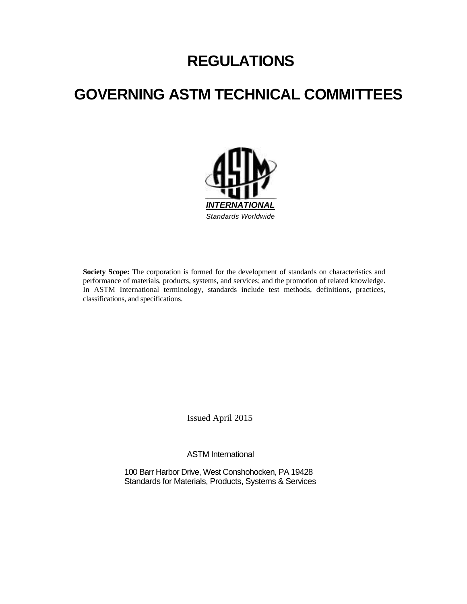# **REGULATIONS**

# **GOVERNING ASTM TECHNICAL COMMITTEES**



Society Scope: The corporation is formed for the development of standards on characteristics and performance of materials, products, systems, and services; and the promotion of related knowledge. In ASTM International terminology, standards include test methods, definitions, practices, classifications, and specifications.

Issued April 2015

ASTM International

100 Barr Harbor Drive, West Conshohocken, PA 19428 Standards for Materials, Products, Systems & Services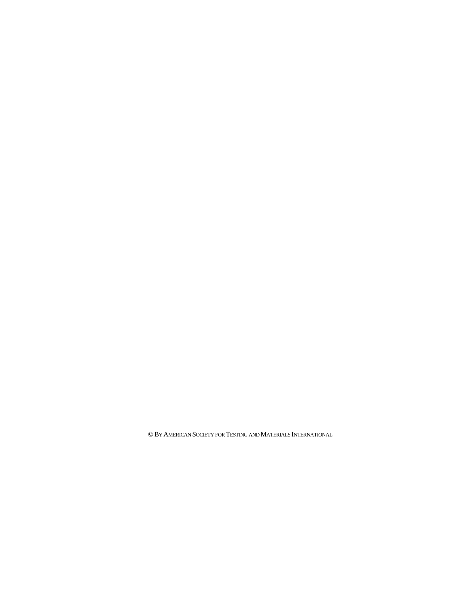© BY AMERICAN SOCIETY FOR TESTING AND MATERIALS INTERNATIONAL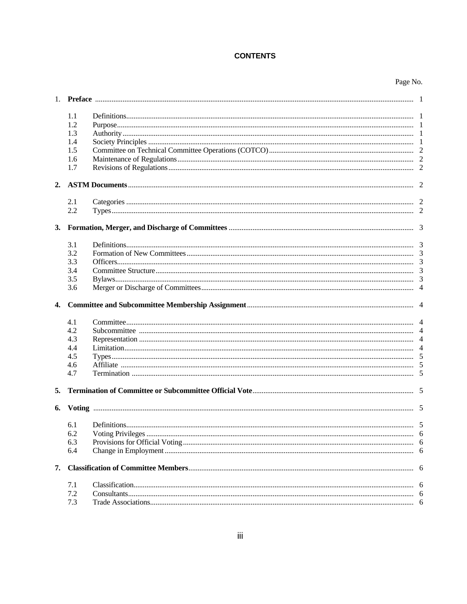# **CONTENTS**

|    | 1.1        |  |  |  |
|----|------------|--|--|--|
|    | 1.2        |  |  |  |
|    | 1.3        |  |  |  |
|    | 1.4        |  |  |  |
|    | 1.5        |  |  |  |
|    | 1.6        |  |  |  |
|    | 1.7        |  |  |  |
|    |            |  |  |  |
|    | 2.1        |  |  |  |
|    | 2.2        |  |  |  |
|    |            |  |  |  |
|    | 3.1        |  |  |  |
|    | 3.2        |  |  |  |
|    | 3.3        |  |  |  |
|    | 3.4        |  |  |  |
|    | 3.5        |  |  |  |
|    | 3.6        |  |  |  |
| 4. |            |  |  |  |
|    |            |  |  |  |
|    | 4.1        |  |  |  |
|    | 4.2        |  |  |  |
|    | 4.3        |  |  |  |
|    | 4.4        |  |  |  |
|    | 4.5        |  |  |  |
|    | 4.6        |  |  |  |
|    | 4.7        |  |  |  |
| 5. |            |  |  |  |
| 6. |            |  |  |  |
|    | 6.1        |  |  |  |
|    | 6.2        |  |  |  |
|    | 6.3        |  |  |  |
|    | 6.4        |  |  |  |
| 7. |            |  |  |  |
|    | 7.1        |  |  |  |
|    | 7.2<br>7.3 |  |  |  |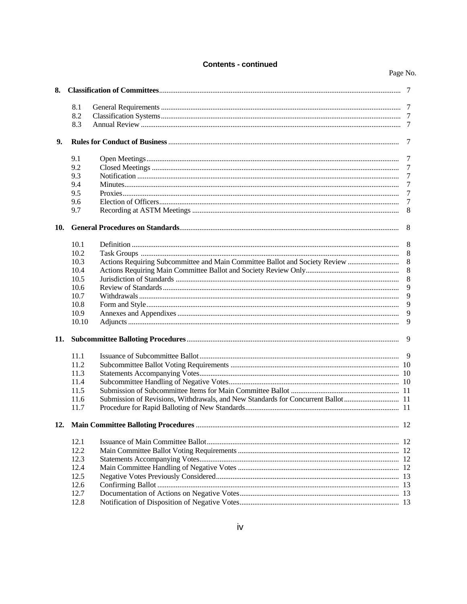# **Contents - continued**

| 8.  |               |                                                                                  |                 |
|-----|---------------|----------------------------------------------------------------------------------|-----------------|
|     | 8.1           |                                                                                  |                 |
|     | 8.2           |                                                                                  |                 |
|     | 8.3           |                                                                                  |                 |
| 9.  |               |                                                                                  | 7               |
|     | 9.1           |                                                                                  | - 7             |
|     | 9.2           |                                                                                  | 7               |
|     | 9.3           |                                                                                  | $\overline{7}$  |
|     | 9.4           |                                                                                  | 7               |
|     | 9.5           |                                                                                  | $7\phantom{.0}$ |
|     | 9.6           |                                                                                  | 7               |
|     | 9.7           |                                                                                  | 8               |
| 10. |               |                                                                                  | -8              |
|     | 10.1          |                                                                                  | - 8             |
|     | 10.2          |                                                                                  | 8               |
|     | 10.3          | Actions Requiring Subcommittee and Main Committee Ballot and Society Review      | 8               |
|     | 10.4          |                                                                                  | 8               |
|     | 10.5          |                                                                                  | 8               |
|     |               |                                                                                  | 9               |
|     | 10.6          |                                                                                  |                 |
|     | 10.7          |                                                                                  | 9               |
|     | 10.8          |                                                                                  | 9               |
|     | 10.9<br>10.10 |                                                                                  | 9<br>9          |
|     |               |                                                                                  |                 |
| 11. |               |                                                                                  | - 9             |
|     | 11.1          |                                                                                  |                 |
|     | 11.2          |                                                                                  |                 |
|     | 11.3          |                                                                                  |                 |
|     | 11.4          |                                                                                  |                 |
|     | 11.5          |                                                                                  |                 |
|     | 11.6          | Submission of Revisions, Withdrawals, and New Standards for Concurrent Ballot 11 |                 |
|     | 11.7          |                                                                                  |                 |
| 12. |               |                                                                                  |                 |
|     | 12.1          |                                                                                  |                 |
|     | 12.2          |                                                                                  |                 |
|     | 12.3          |                                                                                  |                 |
|     | 12.4          |                                                                                  |                 |
|     | 12.5          |                                                                                  |                 |
|     | 12.6          |                                                                                  |                 |
|     | 12.7          |                                                                                  |                 |
|     | 12.8          |                                                                                  |                 |
|     |               |                                                                                  |                 |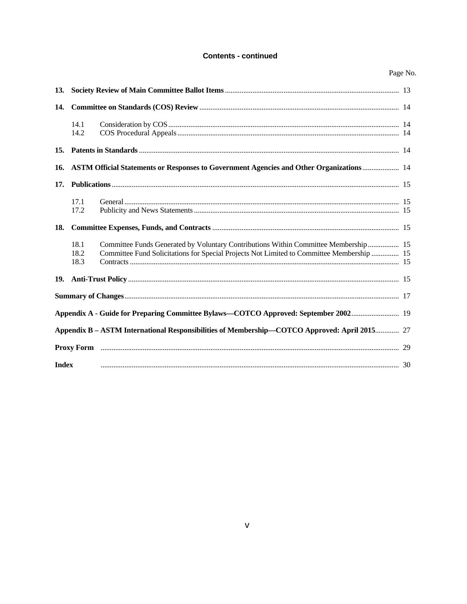# **Contents - continued**

| <b>13.</b>   |                                                                                         |                                                                                                                                                                                  |  |
|--------------|-----------------------------------------------------------------------------------------|----------------------------------------------------------------------------------------------------------------------------------------------------------------------------------|--|
| 14.          |                                                                                         |                                                                                                                                                                                  |  |
|              | 14.1<br>14.2                                                                            |                                                                                                                                                                                  |  |
| 15.          |                                                                                         |                                                                                                                                                                                  |  |
| 16.          | ASTM Official Statements or Responses to Government Agencies and Other Organizations 14 |                                                                                                                                                                                  |  |
| 17.          |                                                                                         |                                                                                                                                                                                  |  |
|              | 17.1<br>17.2                                                                            |                                                                                                                                                                                  |  |
| 18.          |                                                                                         |                                                                                                                                                                                  |  |
|              | 18.1<br>18.2<br>18.3                                                                    | Committee Funds Generated by Voluntary Contributions Within Committee Membership 15<br>Committee Fund Solicitations for Special Projects Not Limited to Committee Membership  15 |  |
| 19.          |                                                                                         |                                                                                                                                                                                  |  |
|              |                                                                                         |                                                                                                                                                                                  |  |
|              |                                                                                         | Appendix A - Guide for Preparing Committee Bylaws—COTCO Approved: September 2002 19                                                                                              |  |
|              |                                                                                         | Appendix B - ASTM International Responsibilities of Membership—COTCO Approved: April 2015 27                                                                                     |  |
|              |                                                                                         |                                                                                                                                                                                  |  |
| <b>Index</b> |                                                                                         |                                                                                                                                                                                  |  |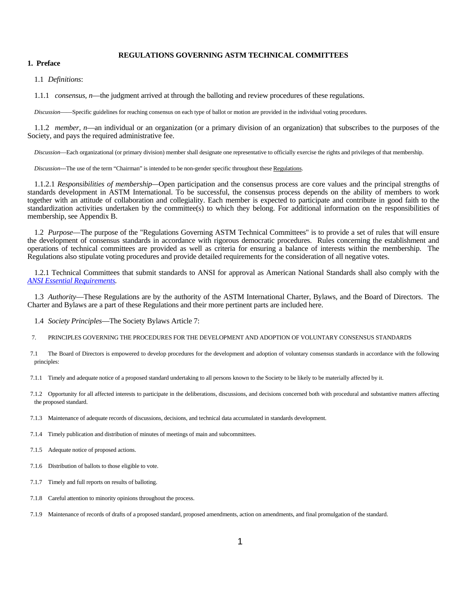## **REGULATIONS GOVERNING ASTM TECHNICAL COMMITTEES**

# **1. Preface**

1.1 *Definitions*:

1.1.1 *consensus, n*—the judgment arrived at through the balloting and review procedures of these regulations.

 *Discussion*——Specific guidelines for reaching consensus on each type of ballot or motion are provided in the individual voting procedures.

 1.1.2 *member, n*—an individual or an organization (or a primary division of an organization) that subscribes to the purposes of the Society, and pays the required administrative fee.

 *Discussion*—Each organizational (or primary division) member shall designate one representative to officially exercise the rights and privileges of that membership.

*Discussion*---The use of the term "Chairman" is intended to be non-gender specific throughout these Regulations.

 1.1.2.1 *Responsibilities of membership—*Open participation and the consensus process are core values and the principal strengths of standards development in ASTM International. To be successful, the consensus process depends on the ability of members to work together with an attitude of collaboration and collegiality. Each member is expected to participate and contribute in good faith to the standardization activities undertaken by the committee(s) to which they belong. For additional information on the responsibilities of membership, see Appendix B.

1.2 *Purpose*—The purpose of the "Regulations Governing ASTM Technical Committees" is to provide a set of rules that will ensure the development of consensus standards in accordance with rigorous democratic procedures. Rules concerning the establishment and operations of technical committees are provided as well as criteria for ensuring a balance of interests within the membership. The Regulations also stipulate voting procedures and provide detailed requirements for the consideration of all negative votes.

1.2.1 Technical Committees that submit standards to ANSI for approval as American National Standards shall also comply with the *ANSI Essential Requirements.* 

 1.3 *Authority*—These Regulations are by the authority of the ASTM International Charter, Bylaws, and the Board of Directors. The Charter and Bylaws are a part of these Regulations and their more pertinent parts are included here.

1.4 *Society Principles*—The Society Bylaws Article 7:

- 7. PRINCIPLES GOVERNING THE PROCEDURES FOR THE DEVELOPMENT AND ADOPTION OF VOLUNTARY CONSENSUS STANDARDS
- 7.1 The Board of Directors is empowered to develop procedures for the development and adoption of voluntary consensus standards in accordance with the following principles:
- 7.1.1 Timely and adequate notice of a proposed standard undertaking to all persons known to the Society to be likely to be materially affected by it.
- 7.1.2 Opportunity for all affected interests to participate in the deliberations, discussions, and decisions concerned both with procedural and substantive matters affecting the proposed standard.
- 7.1.3 Maintenance of adequate records of discussions, decisions, and technical data accumulated in standards development.

7.1.4 Timely publication and distribution of minutes of meetings of main and subcommittees.

7.1.5 Adequate notice of proposed actions.

- 7.1.6 Distribution of ballots to those eligible to vote.
- 7.1.7 Timely and full reports on results of balloting.
- 7.1.8 Careful attention to minority opinions throughout the process.
- 7.1.9 Maintenance of records of drafts of a proposed standard, proposed amendments, action on amendments, and final promulgation of the standard.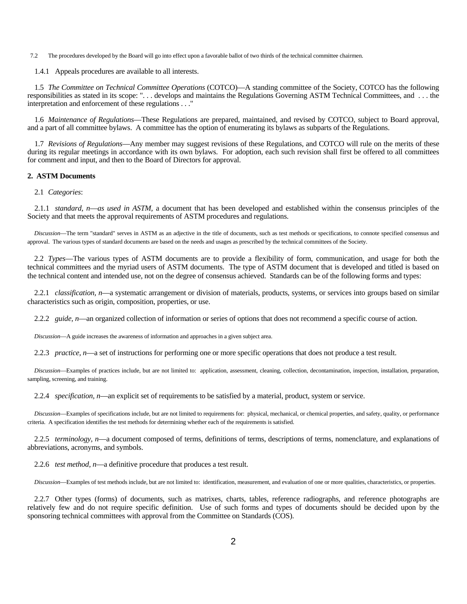7.2 The procedures developed by the Board will go into effect upon a favorable ballot of two thirds of the technical committee chairmen.

1.4.1 Appeals procedures are available to all interests.

 1.5 *The Committee on Technical Committee Operations* (COTCO)—A standing committee of the Society, COTCO has the following responsibilities as stated in its scope: ". . . develops and maintains the Regulations Governing ASTM Technical Committees, and . . . the interpretation and enforcement of these regulations . . ."

 1.6 *Maintenance of Regulations*—These Regulations are prepared, maintained, and revised by COTCO, subject to Board approval, and a part of all committee bylaws. A committee has the option of enumerating its bylaws as subparts of the Regulations.

 1.7 *Revisions of Regulations*—Any member may suggest revisions of these Regulations, and COTCO will rule on the merits of these during its regular meetings in accordance with its own bylaws. For adoption, each such revision shall first be offered to all committees for comment and input, and then to the Board of Directors for approval.

#### **2. ASTM Documents**

2.1 *Categories*:

 2.1.1 *standard, n*—*as used in ASTM,* a document that has been developed and established within the consensus principles of the Society and that meets the approval requirements of ASTM procedures and regulations.

 *Discussion*—The term "standard" serves in ASTM as an adjective in the title of documents, such as test methods or specifications, to connote specified consensus and approval. The various types of standard documents are based on the needs and usages as prescribed by the technical committees of the Society.

 2.2 *Types*—The various types of ASTM documents are to provide a flexibility of form, communication, and usage for both the technical committees and the myriad users of ASTM documents. The type of ASTM document that is developed and titled is based on the technical content and intended use, not on the degree of consensus achieved. Standards can be of the following forms and types:

 2.2.1 *classification, n*—a systematic arrangement or division of materials, products, systems, or services into groups based on similar characteristics such as origin, composition, properties, or use.

2.2.2 *guide, n*—an organized collection of information or series of options that does not recommend a specific course of action.

 *Discussion*—A guide increases the awareness of information and approaches in a given subject area.

2.2.3 *practice, n*—a set of instructions for performing one or more specific operations that does not produce a test result.

 *Discussion*—Examples of practices include, but are not limited to: application, assessment, cleaning, collection, decontamination, inspection, installation, preparation, sampling, screening, and training.

2.2.4 *specification, n*—an explicit set of requirements to be satisfied by a material, product, system or service.

 *Discussion*—Examples of specifications include, but are not limited to requirements for: physical, mechanical, or chemical properties, and safety, quality, or performance criteria. A specification identifies the test methods for determining whether each of the requirements is satisfied.

 2.2.5 *terminology, n*—a document composed of terms, definitions of terms, descriptions of terms, nomenclature, and explanations of abbreviations, acronyms, and symbols.

2.2.6 *test method, n*—a definitive procedure that produces a test result.

 *Discussion*—Examples of test methods include, but are not limited to: identification, measurement, and evaluation of one or more qualities, characteristics, or properties.

 2.2.7 Other types (forms) of documents, such as matrixes, charts, tables, reference radiographs, and reference photographs are relatively few and do not require specific definition. Use of such forms and types of documents should be decided upon by the sponsoring technical committees with approval from the Committee on Standards (COS).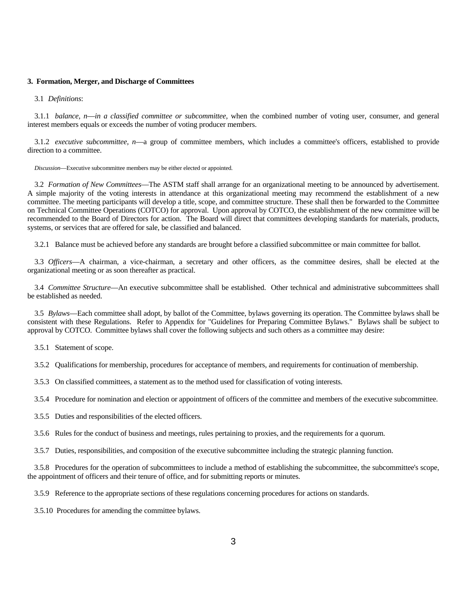#### **3. Formation, Merger, and Discharge of Committees**

#### 3.1 *Definitions*:

 3.1.1 *balance, n*—*in a classified committee or subcommittee*, when the combined number of voting user, consumer, and general interest members equals or exceeds the number of voting producer members.

 3.1.2 *executive subcommittee, n*—a group of committee members, which includes a committee's officers, established to provide direction to a committee.

 *Discussion*—Executive subcommittee members may be either elected or appointed.

 3.2 *Formation of New Committees*—The ASTM staff shall arrange for an organizational meeting to be announced by advertisement. A simple majority of the voting interests in attendance at this organizational meeting may recommend the establishment of a new committee. The meeting participants will develop a title, scope, and committee structure. These shall then be forwarded to the Committee on Technical Committee Operations (COTCO) for approval. Upon approval by COTCO, the establishment of the new committee will be recommended to the Board of Directors for action. The Board will direct that committees developing standards for materials, products, systems, or services that are offered for sale, be classified and balanced.

3.2.1 Balance must be achieved before any standards are brought before a classified subcommittee or main committee for ballot.

 3.3 *Officers*—A chairman, a vice-chairman, a secretary and other officers, as the committee desires, shall be elected at the organizational meeting or as soon thereafter as practical.

 3.4 *Committee Structure*—An executive subcommittee shall be established. Other technical and administrative subcommittees shall be established as needed.

 3.5 *Bylaws*—Each committee shall adopt, by ballot of the Committee, bylaws governing its operation. The Committee bylaws shall be consistent with these Regulations. Refer to Appendix for "Guidelines for Preparing Committee Bylaws." Bylaws shall be subject to approval by COTCO. Committee bylaws shall cover the following subjects and such others as a committee may desire:

3.5.1 Statement of scope.

3.5.2 Qualifications for membership, procedures for acceptance of members, and requirements for continuation of membership.

3.5.3 On classified committees, a statement as to the method used for classification of voting interests.

3.5.4 Procedure for nomination and election or appointment of officers of the committee and members of the executive subcommittee.

3.5.5 Duties and responsibilities of the elected officers.

3.5.6 Rules for the conduct of business and meetings, rules pertaining to proxies, and the requirements for a quorum.

3.5.7 Duties, responsibilities, and composition of the executive subcommittee including the strategic planning function.

 3.5.8 Procedures for the operation of subcommittees to include a method of establishing the subcommittee, the subcommittee's scope, the appointment of officers and their tenure of office, and for submitting reports or minutes.

3.5.9 Reference to the appropriate sections of these regulations concerning procedures for actions on standards.

3.5.10 Procedures for amending the committee bylaws.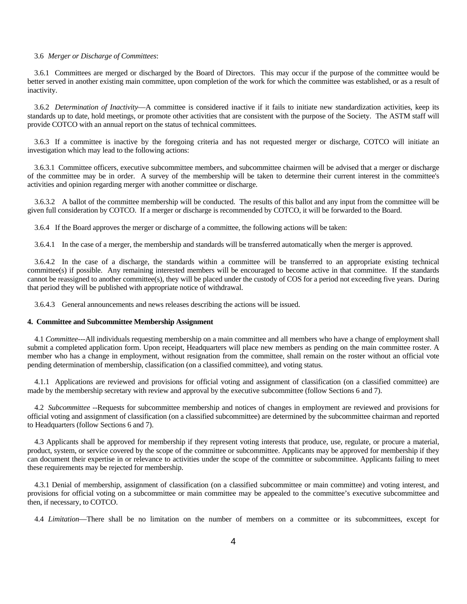#### 3.6 *Merger or Discharge of Committees*:

 3.6.1 Committees are merged or discharged by the Board of Directors. This may occur if the purpose of the committee would be better served in another existing main committee, upon completion of the work for which the committee was established, or as a result of inactivity.

 3.6.2 *Determination of Inactivity*—A committee is considered inactive if it fails to initiate new standardization activities, keep its standards up to date, hold meetings, or promote other activities that are consistent with the purpose of the Society. The ASTM staff will provide COTCO with an annual report on the status of technical committees.

 3.6.3 If a committee is inactive by the foregoing criteria and has not requested merger or discharge, COTCO will initiate an investigation which may lead to the following actions:

 3.6.3.1 Committee officers, executive subcommittee members, and subcommittee chairmen will be advised that a merger or discharge of the committee may be in order. A survey of the membership will be taken to determine their current interest in the committee's activities and opinion regarding merger with another committee or discharge.

 3.6.3.2 A ballot of the committee membership will be conducted. The results of this ballot and any input from the committee will be given full consideration by COTCO. If a merger or discharge is recommended by COTCO, it will be forwarded to the Board.

3.6.4 If the Board approves the merger or discharge of a committee, the following actions will be taken:

3.6.4.1In the case of a merger, the membership and standards will be transferred automatically when the merger is approved.

 3.6.4.2 In the case of a discharge, the standards within a committee will be transferred to an appropriate existing technical committee(s) if possible. Any remaining interested members will be encouraged to become active in that committee. If the standards cannot be reassigned to another committee(s), they will be placed under the custody of COS for a period not exceeding five years. During that period they will be published with appropriate notice of withdrawal.

3.6.4.3 General announcements and news releases describing the actions will be issued.

#### **4. Committee and Subcommittee Membership Assignment**

 4.1 *Committee---*All individuals requesting membership on a main committee and all members who have a change of employment shall submit a completed application form. Upon receipt, Headquarters will place new members as pending on the main committee roster. A member who has a change in employment, without resignation from the committee, shall remain on the roster without an official vote pending determination of membership, classification (on a classified committee), and voting status.

 4.1.1 Applications are reviewed and provisions for official voting and assignment of classification (on a classified committee) are made by the membership secretary with review and approval by the executive subcommittee (follow Sections 6 and 7).

 4.2 *Subcommittee --*Requests for subcommittee membership and notices of changes in employment are reviewed and provisions for official voting and assignment of classification (on a classified subcommittee) are determined by the subcommittee chairman and reported to Headquarters (follow Sections 6 and 7).

 4.3 Applicants shall be approved for membership if they represent voting interests that produce, use, regulate, or procure a material, product, system, or service covered by the scope of the committee or subcommittee. Applicants may be approved for membership if they can document their expertise in or relevance to activities under the scope of the committee or subcommittee. Applicants failing to meet these requirements may be rejected for membership.

 4.3.1 Denial of membership, assignment of classification (on a classified subcommittee or main committee) and voting interest, and provisions for official voting on a subcommittee or main committee may be appealed to the committee's executive subcommittee and then, if necessary, to COTCO.

4.4 *Limitation*—There shall be no limitation on the number of members on a committee or its subcommittees, except for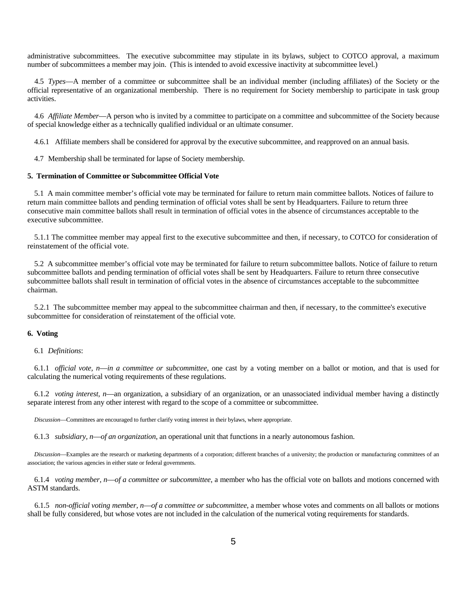administrative subcommittees. The executive subcommittee may stipulate in its bylaws, subject to COTCO approval, a maximum number of subcommittees a member may join. (This is intended to avoid excessive inactivity at subcommittee level.)

 4.5 *Types*—A member of a committee or subcommittee shall be an individual member (including affiliates) of the Society or the official representative of an organizational membership. There is no requirement for Society membership to participate in task group activities.

 4.6 *Affiliate Member*—A person who is invited by a committee to participate on a committee and subcommittee of the Society because of special knowledge either as a technically qualified individual or an ultimate consumer.

4.6.1 Affiliate members shall be considered for approval by the executive subcommittee, and reapproved on an annual basis.

4.7 Membership shall be terminated for lapse of Society membership.

# **5. Termination of Committee or Subcommittee Official Vote**

5.1 A main committee member's official vote may be terminated for failure to return main committee ballots. Notices of failure to return main committee ballots and pending termination of official votes shall be sent by Headquarters. Failure to return three consecutive main committee ballots shall result in termination of official votes in the absence of circumstances acceptable to the executive subcommittee.

5.1.1 The committee member may appeal first to the executive subcommittee and then, if necessary, to COTCO for consideration of reinstatement of the official vote.

5.2 A subcommittee member's official vote may be terminated for failure to return subcommittee ballots. Notice of failure to return subcommittee ballots and pending termination of official votes shall be sent by Headquarters. Failure to return three consecutive subcommittee ballots shall result in termination of official votes in the absence of circumstances acceptable to the subcommittee chairman.

5.2.1 The subcommittee member may appeal to the subcommittee chairman and then, if necessary, to the committee's executive subcommittee for consideration of reinstatement of the official vote.

#### **6. Voting**

## 6.1 *Definitions*:

 6.1.1 *official vote, n*—*in a committee or subcommittee*, one cast by a voting member on a ballot or motion, and that is used for calculating the numerical voting requirements of these regulations.

 6.1.2 *voting interest, n*—an organization, a subsidiary of an organization, or an unassociated individual member having a distinctly separate interest from any other interest with regard to the scope of a committee or subcommittee.

 *Discussion*—Committees are encouraged to further clarify voting interest in their bylaws, where appropriate.

6.1.3 *subsidiary, n*—*of an organization*, an operational unit that functions in a nearly autonomous fashion.

 *Discussion*—Examples are the research or marketing departments of a corporation; different branches of a university; the production or manufacturing committees of an association; the various agencies in either state or federal governments.

 6.1.4 *voting member, n*—*of a committee or subcommittee*, a member who has the official vote on ballots and motions concerned with ASTM standards.

 6.1.5 *non-official voting member, n*—*of a committee or subcommittee*, a member whose votes and comments on all ballots or motions shall be fully considered, but whose votes are not included in the calculation of the numerical voting requirements for standards.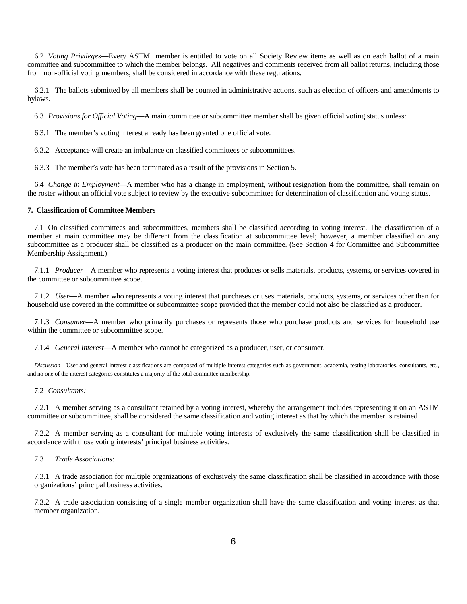6.2 *Voting Privileges*—Every ASTM member is entitled to vote on all Society Review items as well as on each ballot of a main committee and subcommittee to which the member belongs. All negatives and comments received from all ballot returns, including those from non-official voting members, shall be considered in accordance with these regulations.

 6.2.1 The ballots submitted by all members shall be counted in administrative actions, such as election of officers and amendments to bylaws.

6.3 *Provisions for Official Voting*—A main committee or subcommittee member shall be given official voting status unless:

6.3.1 The member's voting interest already has been granted one official vote.

6.3.2 Acceptance will create an imbalance on classified committees or subcommittees.

6.3.3 The member's vote has been terminated as a result of the provisions in Section 5.

 6.4 *Change in Employment*—A member who has a change in employment, without resignation from the committee, shall remain on the roster without an official vote subject to review by the executive subcommittee for determination of classification and voting status.

## **7. Classification of Committee Members**

 7.1 On classified committees and subcommittees, members shall be classified according to voting interest. The classification of a member at main committee may be different from the classification at subcommittee level; however, a member classified on any subcommittee as a producer shall be classified as a producer on the main committee. (See Section 4 for Committee and Subcommittee Membership Assignment.)

 7.1.1 *Producer*—A member who represents a voting interest that produces or sells materials, products, systems, or services covered in the committee or subcommittee scope.

 7.1.2 *User*—A member who represents a voting interest that purchases or uses materials, products, systems, or services other than for household use covered in the committee or subcommittee scope provided that the member could not also be classified as a producer.

 7.1.3 *Consumer*—A member who primarily purchases or represents those who purchase products and services for household use within the committee or subcommittee scope.

7.1.4 *General Interest*—A member who cannot be categorized as a producer, user, or consumer.

 *Discussion*—User and general interest classifications are composed of multiple interest categories such as government, academia, testing laboratories, consultants, etc., and no one of the interest categories constitutes a majority of the total committee membership.

#### 7.2 *Consultants:*

 7.2.1 A member serving as a consultant retained by a voting interest, whereby the arrangement includes representing it on an ASTM committee or subcommittee, shall be considered the same classification and voting interest as that by which the member is retained

 7.2.2 A member serving as a consultant for multiple voting interests of exclusively the same classification shall be classified in accordance with those voting interests' principal business activities.

#### 7.3 *Trade Associations:*

7.3.1 A trade association for multiple organizations of exclusively the same classification shall be classified in accordance with those organizations' principal business activities.

7.3.2 A trade association consisting of a single member organization shall have the same classification and voting interest as that member organization.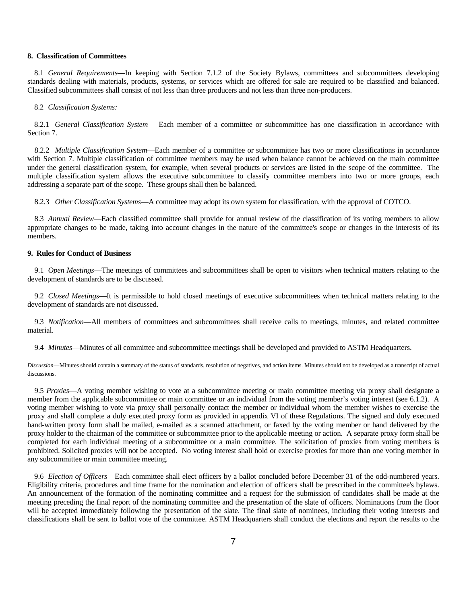#### **8. Classification of Committees**

 8.1 *General Requirements*—In keeping with Section 7.1.2 of the Society Bylaws, committees and subcommittees developing standards dealing with materials, products, systems, or services which are offered for sale are required to be classified and balanced. Classified subcommittees shall consist of not less than three producers and not less than three non-producers.

#### 8.2 *Classification Systems:*

 8.2.1 *General Classification System*— Each member of a committee or subcommittee has one classification in accordance with Section 7.

 8.2.2 *Multiple Classification System*—Each member of a committee or subcommittee has two or more classifications in accordance with Section 7. Multiple classification of committee members may be used when balance cannot be achieved on the main committee under the general classification system, for example, when several products or services are listed in the scope of the committee. The multiple classification system allows the executive subcommittee to classify committee members into two or more groups, each addressing a separate part of the scope. These groups shall then be balanced.

8.2.3 *Other Classification Systems*—A committee may adopt its own system for classification, with the approval of COTCO.

 8.3 *Annual Review*—Each classified committee shall provide for annual review of the classification of its voting members to allow appropriate changes to be made, taking into account changes in the nature of the committee's scope or changes in the interests of its members.

# **9. Rules for Conduct of Business**

 9.1 *Open Meetings*—The meetings of committees and subcommittees shall be open to visitors when technical matters relating to the development of standards are to be discussed.

 9.2 *Closed Meetings*—It is permissible to hold closed meetings of executive subcommittees when technical matters relating to the development of standards are not discussed.

 9.3 *Notification*—All members of committees and subcommittees shall receive calls to meetings, minutes, and related committee material.

9.4 *Minutes*—Minutes of all committee and subcommittee meetings shall be developed and provided to ASTM Headquarters.

*Discussion*—Minutes should contain a summary of the status of standards, resolution of negatives, and action items. Minutes should not be developed as a transcript of actual discussions.

 9.5 *Proxies*—A voting member wishing to vote at a subcommittee meeting or main committee meeting via proxy shall designate a member from the applicable subcommittee or main committee or an individual from the voting member's voting interest (see 6.1.2). A voting member wishing to vote via proxy shall personally contact the member or individual whom the member wishes to exercise the proxy and shall complete a duly executed proxy form as provided in appendix VI of these Regulations. The signed and duly executed hand-written proxy form shall be mailed, e-mailed as a scanned attachment, or faxed by the voting member or hand delivered by the proxy holder to the chairman of the committee or subcommittee prior to the applicable meeting or action. A separate proxy form shall be completed for each individual meeting of a subcommittee or a main committee. The solicitation of proxies from voting members is prohibited. Solicited proxies will not be accepted. No voting interest shall hold or exercise proxies for more than one voting member in any subcommittee or main committee meeting.

 9.6 *Election of Officers*—Each committee shall elect officers by a ballot concluded before December 31 of the odd-numbered years. Eligibility criteria, procedures and time frame for the nomination and election of officers shall be prescribed in the committee's bylaws. An announcement of the formation of the nominating committee and a request for the submission of candidates shall be made at the meeting preceding the final report of the nominating committee and the presentation of the slate of officers. Nominations from the floor will be accepted immediately following the presentation of the slate. The final slate of nominees, including their voting interests and classifications shall be sent to ballot vote of the committee. ASTM Headquarters shall conduct the elections and report the results to the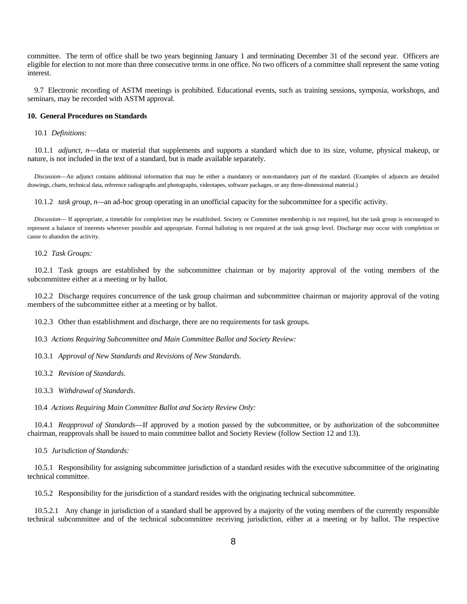committee. The term of office shall be two years beginning January 1 and terminating December 31 of the second year. Officers are eligible for election to not more than three consecutive terms in one office. No two officers of a committee shall represent the same voting interest.

 9.7 Electronic recording of ASTM meetings is prohibited. Educational events, such as training sessions, symposia, workshops, and seminars, may be recorded with ASTM approval.

#### **10. General Procedures on Standards**

10.1 *Definitions*:

10.1.1 *adjunct, n*—data or material that supplements and supports a standard which due to its size, volume, physical makeup, or nature, is not included in the text of a standard, but is made available separately.

 *Discussion*—An adjunct contains additional information that may be either a mandatory or non-mandatory part of the standard. (Examples of adjuncts are detailed drawings, charts, technical data, reference radiographs and photographs, videotapes, software packages, or any three-dimensional material.)

10.1.2 *task group, n—*an ad-hoc group operating in an unofficial capacity for the subcommittee for a specific activity.

 *Discussion*— If appropriate, a timetable for completion may be established. Society or Committee membership is not required, but the task group is encouraged to represent a balance of interests wherever possible and appropriate. Formal balloting is not required at the task group level. Discharge may occur with completion or cause to abandon the activity.

10.2 *Task Groups:* 

10.2.1 Task groups are established by the subcommittee chairman or by majority approval of the voting members of the subcommittee either at a meeting or by ballot.

10.2.2 Discharge requires concurrence of the task group chairman and subcommittee chairman or majority approval of the voting members of the subcommittee either at a meeting or by ballot.

10.2.3 Other than establishment and discharge, there are no requirements for task groups.

10.3 *Actions Requiring Subcommittee and Main Committee Ballot and Society Review:*

10.3.1 *Approval of New Standards and Revisions of New Standards*.

10.3.2 *Revision of Standards*.

10.3.3 *Withdrawal of Standards*.

10.4 *Actions Requiring Main Committee Ballot and Society Review Only:*

 10.4.1 *Reapproval of Standards*—If approved by a motion passed by the subcommittee, or by authorization of the subcommittee chairman, reapprovals shall be issued to main committee ballot and Society Review (follow Section 12 and 13).

10.5 *Jurisdiction of Standards:* 

 10.5.1 Responsibility for assigning subcommittee jurisdiction of a standard resides with the executive subcommittee of the originating technical committee.

10.5.2 Responsibility for the jurisdiction of a standard resides with the originating technical subcommittee.

 10.5.2.1 Any change in jurisdiction of a standard shall be approved by a majority of the voting members of the currently responsible technical subcommittee and of the technical subcommittee receiving jurisdiction, either at a meeting or by ballot. The respective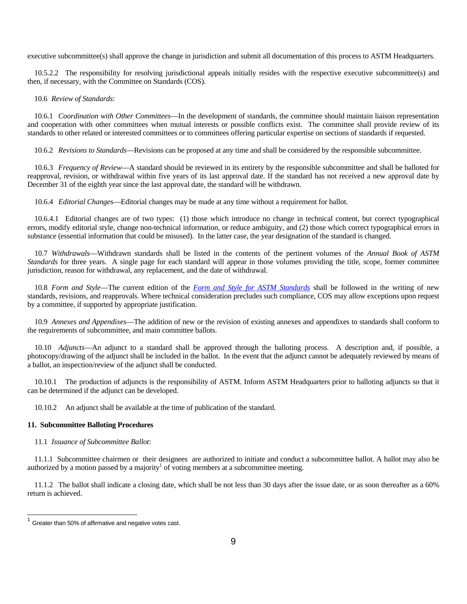executive subcommittee(s) shall approve the change in jurisdiction and submit all documentation of this process to ASTM Headquarters.

 10.5.2.2 The responsibility for resolving jurisdictional appeals initially resides with the respective executive subcommittee(s) and then, if necessary, with the Committee on Standards (COS).

10.6 *Review of Standards*:

 10.6.1 *Coordination with Other Committees*—In the development of standards, the committee should maintain liaison representation and cooperation with other committees when mutual interests or possible conflicts exist. The committee shall provide review of its standards to other related or interested committees or to committees offering particular expertise on sections of standards if requested.

10.6.2 *Revisions to Standards*—Revisions can be proposed at any time and shall be considered by the responsible subcommittee.

 10.6.3 *Frequency of Review*—A standard should be reviewed in its entirety by the responsible subcommittee and shall be balloted for reapproval, revision, or withdrawal within five years of its last approval date. If the standard has not received a new approval date by December 31 of the eighth year since the last approval date, the standard will be withdrawn.

10.6.4 *Editorial Changes*—Editorial changes may be made at any time without a requirement for ballot.

 10.6.4.1 Editorial changes are of two types: (1) those which introduce no change in technical content, but correct typographical errors, modify editorial style, change non-technical information, or reduce ambiguity, and (2) those which correct typographical errors in substance (essential information that could be misused). In the latter case, the year designation of the standard is changed.

 10.7 *Withdrawals*—Withdrawn standards shall be listed in the contents of the pertinent volumes of the *Annual Book of ASTM Standards* for three years. A single page for each standard will appear in those volumes providing the title, scope, former committee jurisdiction, reason for withdrawal, any replacement, and the date of withdrawal.

 10.8 *Form and Style*—The current edition of the *Form and Style for ASTM Standards* shall be followed in the writing of new standards, revisions, and reapprovals. Where technical consideration precludes such compliance, COS may allow exceptions upon request by a committee, if supported by appropriate justification.

 10.9 *Annexes and Appendixes*—The addition of new or the revision of existing annexes and appendixes to standards shall conform to the requirements of subcommittee, and main committee ballots.

 10.10 *Adjuncts*—An adjunct to a standard shall be approved through the balloting process. A description and, if possible, a photocopy/drawing of the adjunct shall be included in the ballot. In the event that the adjunct cannot be adequately reviewed by means of a ballot, an inspection/review of the adjunct shall be conducted.

 10.10.1 The production of adjuncts is the responsibility of ASTM. Inform ASTM Headquarters prior to balloting adjuncts so that it can be determined if the adjunct can be developed.

10.10.2 An adjunct shall be available at the time of publication of the standard.

#### **11. Subcommittee Balloting Procedures**

### 11.1 *Issuance of Subcommittee Ballot*:

 11.1.1 Subcommittee chairmen or their designees are authorized to initiate and conduct a subcommittee ballot. A ballot may also be authorized by a motion passed by a majority<sup>1</sup> of voting members at a subcommittee meeting.

 11.1.2 The ballot shall indicate a closing date, which shall be not less than 30 days after the issue date, or as soon thereafter as a 60% return is achieved.

-

 $1$  Greater than 50% of affirmative and negative votes cast.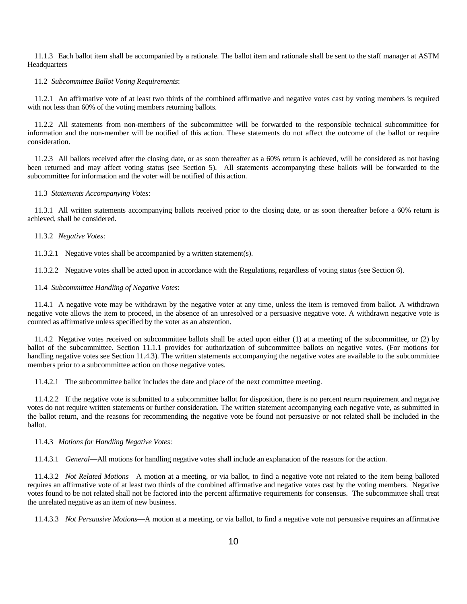11.1.3 Each ballot item shall be accompanied by a rationale. The ballot item and rationale shall be sent to the staff manager at ASTM Headquarters

11.2 *Subcommittee Ballot Voting Requirements*:

 11.2.1 An affirmative vote of at least two thirds of the combined affirmative and negative votes cast by voting members is required with not less than 60% of the voting members returning ballots.

 11.2.2 All statements from non-members of the subcommittee will be forwarded to the responsible technical subcommittee for information and the non-member will be notified of this action. These statements do not affect the outcome of the ballot or require consideration.

11.2.3 All ballots received after the closing date, or as soon thereafter as a 60% return is achieved, will be considered as not having been returned and may affect voting status (see Section 5). All statements accompanying these ballots will be forwarded to the subcommittee for information and the voter will be notified of this action.

#### 11.3 *Statements Accompanying Votes*:

 11.3.1 All written statements accompanying ballots received prior to the closing date, or as soon thereafter before a 60% return is achieved, shall be considered.

11.3.2 *Negative Votes*:

11.3.2.1 Negative votes shall be accompanied by a written statement(s).

11.3.2.2 Negative votes shall be acted upon in accordance with the Regulations, regardless of voting status (see Section 6).

#### 11.4 *Subcommittee Handling of Negative Votes*:

 11.4.1 A negative vote may be withdrawn by the negative voter at any time, unless the item is removed from ballot. A withdrawn negative vote allows the item to proceed, in the absence of an unresolved or a persuasive negative vote. A withdrawn negative vote is counted as affirmative unless specified by the voter as an abstention.

 11.4.2 Negative votes received on subcommittee ballots shall be acted upon either (1) at a meeting of the subcommittee, or (2) by ballot of the subcommittee. Section 11.1.1 provides for authorization of subcommittee ballots on negative votes. (For motions for handling negative votes see Section 11.4.3). The written statements accompanying the negative votes are available to the subcommittee members prior to a subcommittee action on those negative votes.

11.4.2.1 The subcommittee ballot includes the date and place of the next committee meeting.

 11.4.2.2 If the negative vote is submitted to a subcommittee ballot for disposition, there is no percent return requirement and negative votes do not require written statements or further consideration. The written statement accompanying each negative vote, as submitted in the ballot return, and the reasons for recommending the negative vote be found not persuasive or not related shall be included in the ballot.

11.4.3 *Motions for Handling Negative Votes*:

11.4.3.1 *General*—All motions for handling negative votes shall include an explanation of the reasons for the action.

 11.4.3.2 *Not Related Motions*—A motion at a meeting, or via ballot, to find a negative vote not related to the item being balloted requires an affirmative vote of at least two thirds of the combined affirmative and negative votes cast by the voting members. Negative votes found to be not related shall not be factored into the percent affirmative requirements for consensus. The subcommittee shall treat the unrelated negative as an item of new business.

11.4.3.3 *Not Persuasive Motions*—A motion at a meeting, or via ballot, to find a negative vote not persuasive requires an affirmative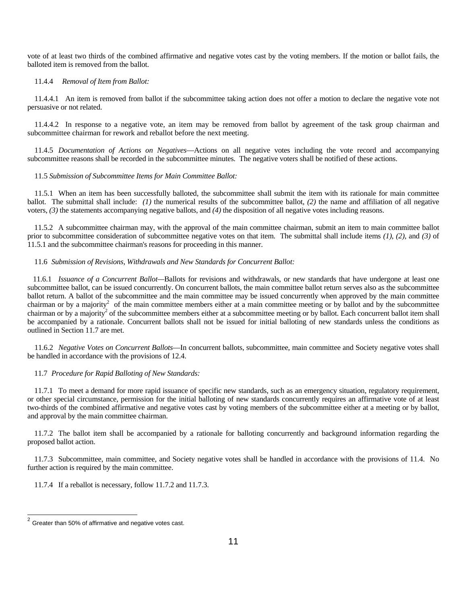vote of at least two thirds of the combined affirmative and negative votes cast by the voting members. If the motion or ballot fails, the balloted item is removed from the ballot.

#### 11.4.4 *Removal of Item from Ballot:*

 11.4.4.1 An item is removed from ballot if the subcommittee taking action does not offer a motion to declare the negative vote not persuasive or not related.

 11.4.4.2 In response to a negative vote, an item may be removed from ballot by agreement of the task group chairman and subcommittee chairman for rework and reballot before the next meeting.

 11.4.5 *Documentation of Actions on Negatives*—Actions on all negative votes including the vote record and accompanying subcommittee reasons shall be recorded in the subcommittee minutes. The negative voters shall be notified of these actions.

#### 11.5 *Submission of Subcommittee Items for Main Committee Ballot:*

 11.5.1 When an item has been successfully balloted, the subcommittee shall submit the item with its rationale for main committee ballot. The submittal shall include: *(1)* the numerical results of the subcommittee ballot, *(2)* the name and affiliation of all negative voters, *(3)* the statements accompanying negative ballots, and *(4)* the disposition of all negative votes including reasons.

 11.5.2 A subcommittee chairman may, with the approval of the main committee chairman, submit an item to main committee ballot prior to subcommittee consideration of subcommittee negative votes on that item. The submittal shall include items *(1)*, *(2)*, and *(3)* of 11.5.1 and the subcommittee chairman's reasons for proceeding in this manner.

#### 11.6 *Submission of Revisions, Withdrawals and New Standards for Concurrent Ballot:*

 11.6.1 *Issuance of a Concurrent Ballot—*Ballots for revisions and withdrawals, or new standards that have undergone at least one subcommittee ballot, can be issued concurrently. On concurrent ballots, the main committee ballot return serves also as the subcommittee ballot return. A ballot of the subcommittee and the main committee may be issued concurrently when approved by the main committee chairman or by a majority<sup>2</sup> of the main committee members either at a main committee meeting or by ballot and by the subcommittee chairman or by a majority<sup>2</sup> of the subcommittee members either at a subcommittee meeting or by ballot. Each concurrent ballot item shall be accompanied by a rationale. Concurrent ballots shall not be issued for initial balloting of new standards unless the conditions as outlined in Section 11.7 are met.

 11.6.2 *Negative Votes on Concurrent Ballots*—In concurrent ballots, subcommittee, main committee and Society negative votes shall be handled in accordance with the provisions of 12.4.

#### 11.7 *Procedure for Rapid Balloting of New Standards:*

 11.7.1 To meet a demand for more rapid issuance of specific new standards, such as an emergency situation, regulatory requirement, or other special circumstance, permission for the initial balloting of new standards concurrently requires an affirmative vote of at least two-thirds of the combined affirmative and negative votes cast by voting members of the subcommittee either at a meeting or by ballot, and approval by the main committee chairman.

 11.7.2 The ballot item shall be accompanied by a rationale for balloting concurrently and background information regarding the proposed ballot action.

 11.7.3 Subcommittee, main committee, and Society negative votes shall be handled in accordance with the provisions of 11.4. No further action is required by the main committee.

11.7.4 If a reballot is necessary, follow 11.7.2 and 11.7.3.

l

 $2$  Greater than 50% of affirmative and negative votes cast.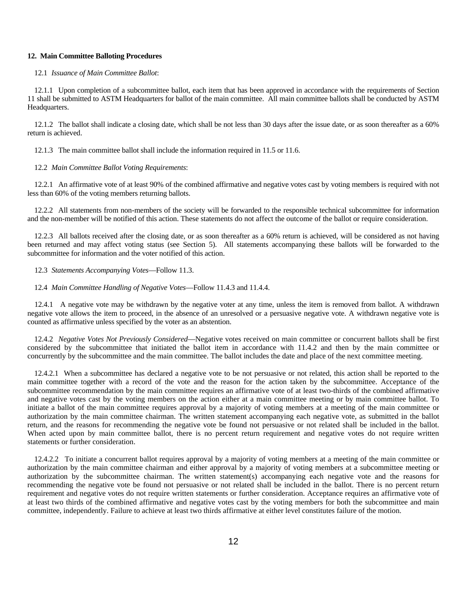#### **12. Main Committee Balloting Procedures**

#### 12.1 *Issuance of Main Committee Ballot*:

 12.1.1 Upon completion of a subcommittee ballot, each item that has been approved in accordance with the requirements of Section 11 shall be submitted to ASTM Headquarters for ballot of the main committee. All main committee ballots shall be conducted by ASTM Headquarters.

 12.1.2 The ballot shall indicate a closing date, which shall be not less than 30 days after the issue date, or as soon thereafter as a 60% return is achieved.

12.1.3 The main committee ballot shall include the information required in 11.5 or 11.6.

### 12.2 *Main Committee Ballot Voting Requirements*:

 12.2.1 An affirmative vote of at least 90% of the combined affirmative and negative votes cast by voting members is required with not less than 60% of the voting members returning ballots.

 12.2.2 All statements from non-members of the society will be forwarded to the responsible technical subcommittee for information and the non-member will be notified of this action. These statements do not affect the outcome of the ballot or require consideration.

 12.2.3 All ballots received after the closing date, or as soon thereafter as a 60% return is achieved, will be considered as not having been returned and may affect voting status (see Section 5). All statements accompanying these ballots will be forwarded to the subcommittee for information and the voter notified of this action.

12.3 *Statements Accompanying Votes*—Follow 11.3.

#### 12.4 *Main Committee Handling of Negative Votes*—Follow 11.4.3 and 11.4.4.

 12.4.1 A negative vote may be withdrawn by the negative voter at any time, unless the item is removed from ballot. A withdrawn negative vote allows the item to proceed, in the absence of an unresolved or a persuasive negative vote. A withdrawn negative vote is counted as affirmative unless specified by the voter as an abstention.

12.4.2 *Negative Votes Not Previously Considered*—Negative votes received on main committee or concurrent ballots shall be first considered by the subcommittee that initiated the ballot item in accordance with 11.4.2 and then by the main committee or concurrently by the subcommittee and the main committee. The ballot includes the date and place of the next committee meeting.

12.4.2.1 When a subcommittee has declared a negative vote to be not persuasive or not related, this action shall be reported to the main committee together with a record of the vote and the reason for the action taken by the subcommittee. Acceptance of the subcommittee recommendation by the main committee requires an affirmative vote of at least two-thirds of the combined affirmative and negative votes cast by the voting members on the action either at a main committee meeting or by main committee ballot. To initiate a ballot of the main committee requires approval by a majority of voting members at a meeting of the main committee or authorization by the main committee chairman. The written statement accompanying each negative vote, as submitted in the ballot return, and the reasons for recommending the negative vote be found not persuasive or not related shall be included in the ballot. When acted upon by main committee ballot, there is no percent return requirement and negative votes do not require written statements or further consideration.

12.4.2.2 To initiate a concurrent ballot requires approval by a majority of voting members at a meeting of the main committee or authorization by the main committee chairman and either approval by a majority of voting members at a subcommittee meeting or authorization by the subcommittee chairman. The written statement(s) accompanying each negative vote and the reasons for recommending the negative vote be found not persuasive or not related shall be included in the ballot. There is no percent return requirement and negative votes do not require written statements or further consideration. Acceptance requires an affirmative vote of at least two thirds of the combined affirmative and negative votes cast by the voting members for both the subcommittee and main committee, independently. Failure to achieve at least two thirds affirmative at either level constitutes failure of the motion.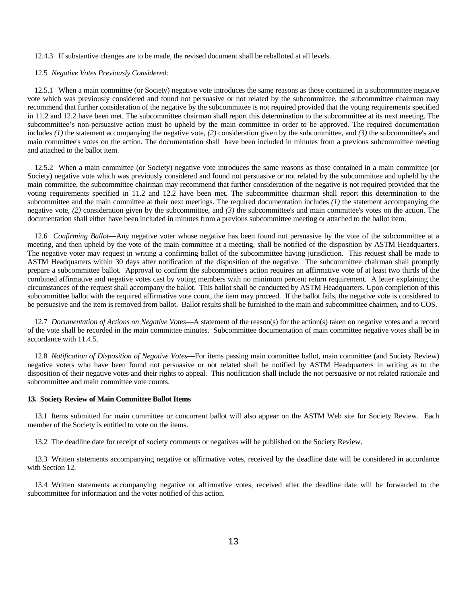#### 12.4.3 If substantive changes are to be made, the revised document shall be reballoted at all levels.

#### 12.5 *Negative Votes Previously Considered:*

 12.5.1 When a main committee (or Society) negative vote introduces the same reasons as those contained in a subcommittee negative vote which was previously considered and found not persuasive or not related by the subcommittee, the subcommittee chairman may recommend that further consideration of the negative by the subcommittee is not required provided that the voting requirements specified in 11.2 and 12.2 have been met. The subcommittee chairman shall report this determination to the subcommittee at its next meeting. The subcommittee's non-persuasive action must be upheld by the main committee in order to be approved. The required documentation includes *(1)* the statement accompanying the negative vote, *(2)* consideration given by the subcommittee, and *(3)* the subcommittee's and main committee's votes on the action. The documentation shall have been included in minutes from a previous subcommittee meeting and attached to the ballot item.

 12.5.2 When a main committee (or Society) negative vote introduces the same reasons as those contained in a main committee (or Society) negative vote which was previously considered and found not persuasive or not related by the subcommittee and upheld by the main committee, the subcommittee chairman may recommend that further consideration of the negative is not required provided that the voting requirements specified in 11.2 and 12.2 have been met. The subcommittee chairman shall report this determination to the subcommittee and the main committee at their next meetings. The required documentation includes *(1)* the statement accompanying the negative vote, *(2)* consideration given by the subcommittee, and *(3)* the subcommittee's and main committee's votes on the action. The documentation shall either have been included in minutes from a previous subcommittee meeting or attached to the ballot item.

 12.6 *Confirming Ballot*—Any negative voter whose negative has been found not persuasive by the vote of the subcommittee at a meeting, and then upheld by the vote of the main committee at a meeting, shall be notified of the disposition by ASTM Headquarters. The negative voter may request in writing a confirming ballot of the subcommittee having jurisdiction. This request shall be made to ASTM Headquarters within 30 days after notification of the disposition of the negative. The subcommittee chairman shall promptly prepare a subcommittee ballot. Approval to confirm the subcommittee's action requires an affirmative vote of at least two thirds of the combined affirmative and negative votes cast by voting members with no minimum percent return requirement. A letter explaining the circumstances of the request shall accompany the ballot. This ballot shall be conducted by ASTM Headquarters. Upon completion of this subcommittee ballot with the required affirmative vote count, the item may proceed. If the ballot fails, the negative vote is considered to be persuasive and the item is removed from ballot. Ballot results shall be furnished to the main and subcommittee chairmen, and to COS.

 12.7 *Documentation of Actions on Negative Votes*—A statement of the reason(s) for the action(s) taken on negative votes and a record of the vote shall be recorded in the main committee minutes. Subcommittee documentation of main committee negative votes shall be in accordance with 11.4.5.

12.8 *Notification of Disposition of Negative Votes*—For items passing main committee ballot, main committee (and Society Review) negative voters who have been found not persuasive or not related shall be notified by ASTM Headquarters in writing as to the disposition of their negative votes and their rights to appeal. This notification shall include the not persuasive or not related rationale and subcommittee and main committee vote counts.

#### **13. Society Review of Main Committee Ballot Items**

 13.1 Items submitted for main committee or concurrent ballot will also appear on the ASTM Web site for Society Review. Each member of the Society is entitled to vote on the items.

13.2 The deadline date for receipt of society comments or negatives will be published on the Society Review.

 13.3 Written statements accompanying negative or affirmative votes, received by the deadline date will be considered in accordance with Section 12.

 13.4 Written statements accompanying negative or affirmative votes, received after the deadline date will be forwarded to the subcommittee for information and the voter notified of this action.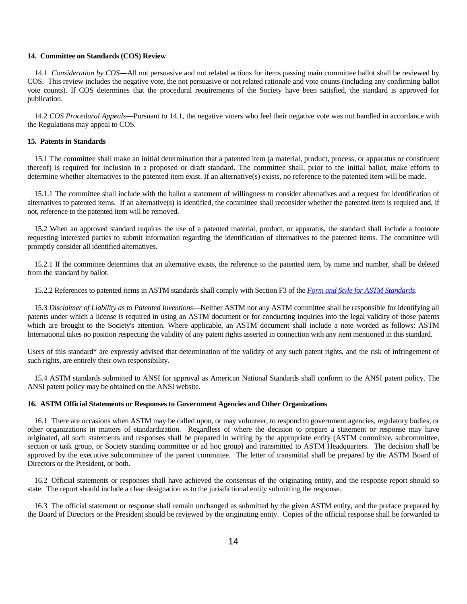#### **14. Committee on Standards (COS) Review**

 14.1 *Consideration by COS*—All not persuasive and not related actions for items passing main committee ballot shall be reviewed by COS. This review includes the negative vote, the not persuasive or not related rationale and vote counts (including any confirming ballot vote counts). If COS determines that the procedural requirements of the Society have been satisfied, the standard is approved for publication.

14.2 *COS Procedural Appeals*—Pursuant to 14.1, the negative voters who feel their negative vote was not handled in accordance with the Regulations may appeal to COS.

#### **15. Patents in Standards**

15.1 The committee shall make an initial determination that a patented item (a material, product, process, or apparatus or constituent thereof) is required for inclusion in a proposed or draft standard. The committee shall, prior to the initial ballot, make efforts to determine whether alternatives to the patented item exist. If an alternative(s) exists, no reference to the patented item will be made.

15.1.1 The committee shall include with the ballot a statement of willingness to consider alternatives and a request for identification of alternatives to patented items. If an alternative(s) is identified, the committee shall reconsider whether the patented item is required and, if not, reference to the patented item will be removed.

15.2 When an approved standard requires the use of a patented material, product, or apparatus, the standard shall include a footnote requesting interested parties to submit information regarding the identification of alternatives to the patented items. The committee will promptly consider all identified alternatives.

15.2.1 If the committee determines that an alternative exists, the reference to the patented item, by name and number, shall be deleted from the standard by ballot.

15.2.2 References to patented items in ASTM standards shall comply with Section F3 of the *Form and Style for ASTM Standards*.

15.3 *Disclaimer of Liability as to Patented Inventions*—Neither ASTM nor any ASTM committee shall be responsible for identifying all patents under which a license is required in using an ASTM document or for conducting inquiries into the legal validity of those patents which are brought to the Society's attention. Where applicable, an ASTM document shall include a note worded as follows: ASTM International takes no position respecting the validity of any patent rights asserted in connection with any item mentioned in this standard.

Users of this standard\* are expressly advised that determination of the validity of any such patent rights, and the risk of infringement of such rights, are entirely their own responsibility.

15.4 ASTM standards submitted to ANSI for approval as American National Standards shall conform to the ANSI patent policy. The ANSI patent policy may be obtained on the ANSI website.

#### **16. ASTM Official Statements or Responses to Government Agencies and Other Organizations**

 16.1 There are occasions when ASTM may be called upon, or may volunteer, to respond to government agencies, regulatory bodies, or other organizations in matters of standardization. Regardless of where the decision to prepare a statement or response may have originated, all such statements and responses shall be prepared in writing by the appropriate entity (ASTM committee, subcommittee, section or task group, or Society standing committee or ad hoc group) and transmitted to ASTM Headquarters. The decision shall be approved by the executive subcommittee of the parent committee. The letter of transmittal shall be prepared by the ASTM Board of Directors or the President, or both.

 16.2 Official statements or responses shall have achieved the consensus of the originating entity, and the response report should so state. The report should include a clear designation as to the jurisdictional entity submitting the response.

 16.3 The official statement or response shall remain unchanged as submitted by the given ASTM entity, and the preface prepared by the Board of Directors or the President should be reviewed by the originating entity. Copies of the official response shall be forwarded to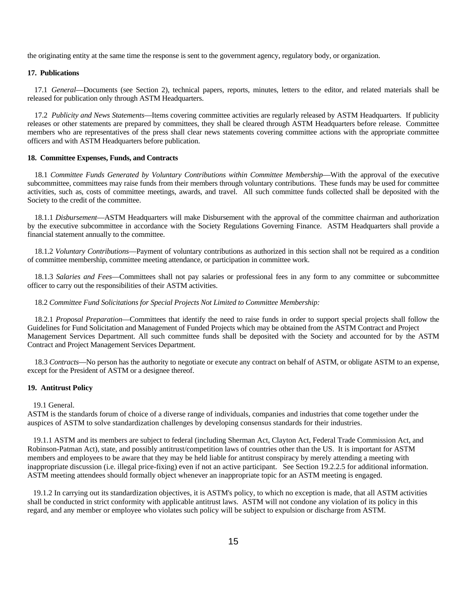the originating entity at the same time the response is sent to the government agency, regulatory body, or organization.

# **17. Publications**

 17.1 *General*—Documents (see Section 2), technical papers, reports, minutes, letters to the editor, and related materials shall be released for publication only through ASTM Headquarters.

 17.2 *Publicity and News Statements*—Items covering committee activities are regularly released by ASTM Headquarters. If publicity releases or other statements are prepared by committees, they shall be cleared through ASTM Headquarters before release. Committee members who are representatives of the press shall clear news statements covering committee actions with the appropriate committee officers and with ASTM Headquarters before publication.

#### **18. Committee Expenses, Funds, and Contracts**

18.1 *Committee Funds Generated by Voluntary Contributions within Committee Membership—With the approval of the executive* subcommittee, committees may raise funds from their members through voluntary contributions. These funds may be used for committee activities, such as, costs of committee meetings, awards, and travel. All such committee funds collected shall be deposited with the Society to the credit of the committee.

 18.1.1 *Disbursement*—ASTM Headquarters will make Disbursement with the approval of the committee chairman and authorization by the executive subcommittee in accordance with the Society Regulations Governing Finance. ASTM Headquarters shall provide a financial statement annually to the committee.

 18.1.2 *Voluntary Contributions*—Payment of voluntary contributions as authorized in this section shall not be required as a condition of committee membership, committee meeting attendance, or participation in committee work.

 18.1.3 *Salaries and Fees*—Committees shall not pay salaries or professional fees in any form to any committee or subcommittee officer to carry out the responsibilities of their ASTM activities.

### 18.2 *Committee Fund Solicitations for Special Projects Not Limited to Committee Membership:*

 18.2.1 *Proposal Preparation*—Committees that identify the need to raise funds in order to support special projects shall follow the Guidelines for Fund Solicitation and Management of Funded Projects which may be obtained from the ASTM Contract and Project Management Services Department. All such committee funds shall be deposited with the Society and accounted for by the ASTM Contract and Project Management Services Department.

 18.3 *Contracts*—No person has the authority to negotiate or execute any contract on behalf of ASTM, or obligate ASTM to an expense, except for the President of ASTM or a designee thereof.

#### **19. Antitrust Policy**

#### 19.1 General.

ASTM is the standards forum of choice of a diverse range of individuals, companies and industries that come together under the auspices of ASTM to solve standardization challenges by developing consensus standards for their industries.

 19.1.1 ASTM and its members are subject to federal (including Sherman Act, Clayton Act, Federal Trade Commission Act, and Robinson-Patman Act), state, and possibly antitrust/competition laws of countries other than the US. It is important for ASTM members and employees to be aware that they may be held liable for antitrust conspiracy by merely attending a meeting with inappropriate discussion (i.e. illegal price-fixing) even if not an active participant. See Section 19.2.2.5 for additional information. ASTM meeting attendees should formally object whenever an inappropriate topic for an ASTM meeting is engaged.

 19.1.2 In carrying out its standardization objectives, it is ASTM's policy, to which no exception is made, that all ASTM activities shall be conducted in strict conformity with applicable antitrust laws. ASTM will not condone any violation of its policy in this regard, and any member or employee who violates such policy will be subject to expulsion or discharge from ASTM.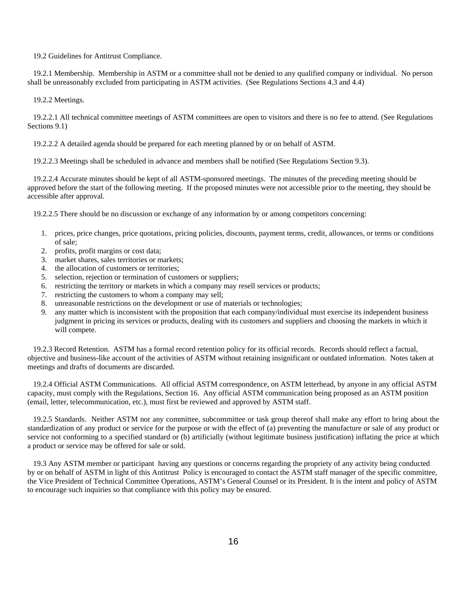19.2 Guidelines for Antitrust Compliance.

 19.2.1 Membership. Membership in ASTM or a committee shall not be denied to any qualified company or individual. No person shall be unreasonably excluded from participating in ASTM activities. (See Regulations Sections 4.3 and 4.4)

19.2.2 Meetings.

 19.2.2.1 All technical committee meetings of ASTM committees are open to visitors and there is no fee to attend. (See Regulations Sections 9.1)

19.2.2.2 A detailed agenda should be prepared for each meeting planned by or on behalf of ASTM.

19.2.2.3 Meetings shall be scheduled in advance and members shall be notified (See Regulations Section 9.3).

 19.2.2.4 Accurate minutes should be kept of all ASTM-sponsored meetings. The minutes of the preceding meeting should be approved before the start of the following meeting. If the proposed minutes were not accessible prior to the meeting, they should be accessible after approval.

19.2.2.5 There should be no discussion or exchange of any information by or among competitors concerning:

- 1. prices, price changes, price quotations, pricing policies, discounts, payment terms, credit, allowances, or terms or conditions of sale;
- 2. profits, profit margins or cost data;
- 3. market shares, sales territories or markets;
- 4. the allocation of customers or territories;
- 5. selection, rejection or termination of customers or suppliers;
- 6. restricting the territory or markets in which a company may resell services or products;
- 7. restricting the customers to whom a company may sell;
- 8. unreasonable restrictions on the development or use of materials or technologies;
- 9. any matter which is inconsistent with the proposition that each company/individual must exercise its independent business judgment in pricing its services or products, dealing with its customers and suppliers and choosing the markets in which it will compete.

 19.2.3 Record Retention. ASTM has a formal record retention policy for its official records. Records should reflect a factual, objective and business-like account of the activities of ASTM without retaining insignificant or outdated information. Notes taken at meetings and drafts of documents are discarded.

 19.2.4 Official ASTM Communications. All official ASTM correspondence, on ASTM letterhead, by anyone in any official ASTM capacity, must comply with the Regulations, Section 16. Any official ASTM communication being proposed as an ASTM position (email, letter, telecommunication, etc.), must first be reviewed and approved by ASTM staff.

 19.2.5 Standards. Neither ASTM nor any committee, subcommittee or task group thereof shall make any effort to bring about the standardization of any product or service for the purpose or with the effect of (a) preventing the manufacture or sale of any product or service not conforming to a specified standard or (b) artificially (without legitimate business justification) inflating the price at which a product or service may be offered for sale or sold.

 19.3 Any ASTM member or participant having any questions or concerns regarding the propriety of any activity being conducted by or on behalf of ASTM in light of this Antitrust Policy is encouraged to contact the ASTM staff manager of the specific committee, the Vice President of Technical Committee Operations, ASTM's General Counsel or its President. It is the intent and policy of ASTM to encourage such inquiries so that compliance with this policy may be ensured.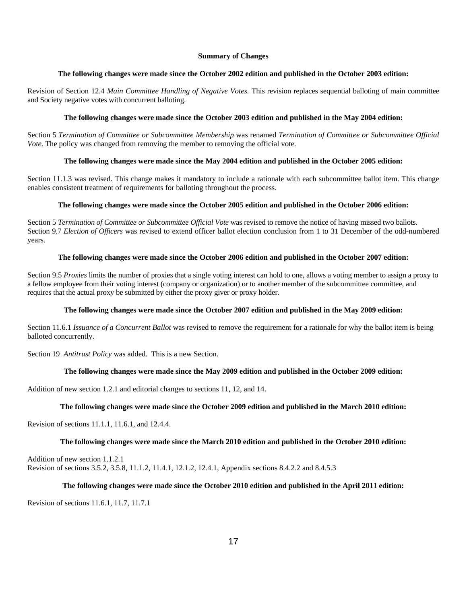#### **Summary of Changes**

# **The following changes were made since the October 2002 edition and published in the October 2003 edition:**

Revision of Section 12.4 *Main Committee Handling of Negative Votes.* This revision replaces sequential balloting of main committee and Society negative votes with concurrent balloting.

# **The following changes were made since the October 2003 edition and published in the May 2004 edition:**

Section 5 *Termination of Committee or Subcommittee Membership* was renamed *Termination of Committee or Subcommittee Official Vote.* The policy was changed from removing the member to removing the official vote.

# **The following changes were made since the May 2004 edition and published in the October 2005 edition:**

Section 11.1.3 was revised. This change makes it mandatory to include a rationale with each subcommittee ballot item. This change enables consistent treatment of requirements for balloting throughout the process.

# **The following changes were made since the October 2005 edition and published in the October 2006 edition:**

Section 5 Termination of Committee or Subcommittee Official Vote was revised to remove the notice of having missed two ballots. Section 9.7 *Election of Officers* was revised to extend officer ballot election conclusion from 1 to 31 December of the odd-numbered years.

# **The following changes were made since the October 2006 edition and published in the October 2007 edition:**

Section 9.5 *Proxies* limits the number of proxies that a single voting interest can hold to one, allows a voting member to assign a proxy to a fellow employee from their voting interest (company or organization) or to another member of the subcommittee committee, and requires that the actual proxy be submitted by either the proxy giver or proxy holder.

# **The following changes were made since the October 2007 edition and published in the May 2009 edition:**

Section 11.6.1 *Issuance of a Concurrent Ballot* was revised to remove the requirement for a rationale for why the ballot item is being balloted concurrently.

Section 19 *Antitrust Policy* was added. This is a new Section.

# **The following changes were made since the May 2009 edition and published in the October 2009 edition:**

Addition of new section 1.2.1 and editorial changes to sections 11, 12, and 14.

# **The following changes were made since the October 2009 edition and published in the March 2010 edition:**

Revision of sections 11.1.1, 11.6.1, and 12.4.4.

# **The following changes were made since the March 2010 edition and published in the October 2010 edition:**

Addition of new section 1.1.2.1 Revision of sections 3.5.2, 3.5.8, 11.1.2, 11.4.1, 12.1.2, 12.4.1, Appendix sections 8.4.2.2 and 8.4.5.3

# **The following changes were made since the October 2010 edition and published in the April 2011 edition:**

Revision of sections 11.6.1, 11.7, 11.7.1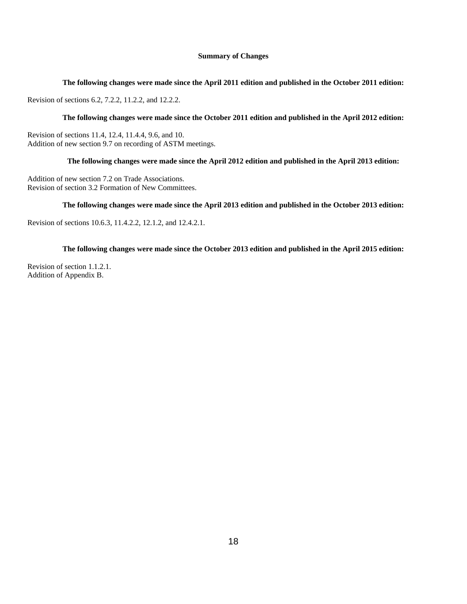# **Summary of Changes**

### **The following changes were made since the April 2011 edition and published in the October 2011 edition:**

Revision of sections 6.2, 7.2.2, 11.2.2, and 12.2.2.

# **The following changes were made since the October 2011 edition and published in the April 2012 edition:**

Revision of sections 11.4, 12.4, 11.4.4, 9.6, and 10. Addition of new section 9.7 on recording of ASTM meetings.

# **The following changes were made since the April 2012 edition and published in the April 2013 edition:**

Addition of new section 7.2 on Trade Associations. Revision of section 3.2 Formation of New Committees.

# **The following changes were made since the April 2013 edition and published in the October 2013 edition:**

Revision of sections 10.6.3, 11.4.2.2, 12.1.2, and 12.4.2.1.

# **The following changes were made since the October 2013 edition and published in the April 2015 edition:**

Revision of section 1.1.2.1. Addition of Appendix B.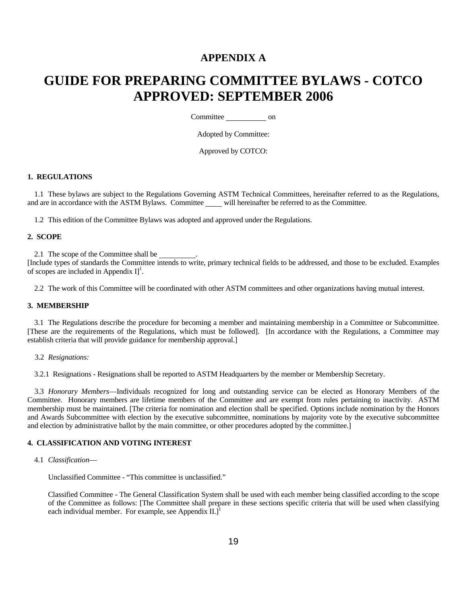# **APPENDIX A**

# **GUIDE FOR PREPARING COMMITTEE BYLAWS - COTCO APPROVED: SEPTEMBER 2006**

Committee \_\_\_\_\_\_\_\_\_\_\_\_\_ on

Adopted by Committee:

Approved by COTCO:

#### **1. REGULATIONS**

 1.1 These bylaws are subject to the Regulations Governing ASTM Technical Committees, hereinafter referred to as the Regulations, and are in accordance with the ASTM Bylaws. Committee will hereinafter be referred to as the Committee.

1.2 This edition of the Committee Bylaws was adopted and approved under the Regulations.

#### **2. SCOPE**

2.1 The scope of the Committee shall be .

[Include types of standards the Committee intends to write, primary technical fields to be addressed, and those to be excluded. Examples of scopes are included in Appendix  $I$ <sup>1</sup>.

2.2 The work of this Committee will be coordinated with other ASTM committees and other organizations having mutual interest.

#### **3. MEMBERSHIP**

 3.1 The Regulations describe the procedure for becoming a member and maintaining membership in a Committee or Subcommittee. [These are the requirements of the Regulations, which must be followed]. [In accordance with the Regulations, a Committee may establish criteria that will provide guidance for membership approval.]

3.2 *Resignations:* 

3.2.1 Resignations - Resignations shall be reported to ASTM Headquarters by the member or Membership Secretary.

 3.3 *Honorary Members*—Individuals recognized for long and outstanding service can be elected as Honorary Members of the Committee. Honorary members are lifetime members of the Committee and are exempt from rules pertaining to inactivity. ASTM membership must be maintained. [The criteria for nomination and election shall be specified. Options include nomination by the Honors and Awards Subcommittee with election by the executive subcommittee, nominations by majority vote by the executive subcommittee and election by administrative ballot by the main committee, or other procedures adopted by the committee.]

#### **4. CLASSIFICATION AND VOTING INTEREST**

4.1 *Classification*—

Unclassified Committee - "This committee is unclassified."

Classified Committee - The General Classification System shall be used with each member being classified according to the scope of the Committee as follows: [The Committee shall prepare in these sections specific criteria that will be used when classifying each individual member. For example, see Appendix  $II.]$ <sup>1</sup>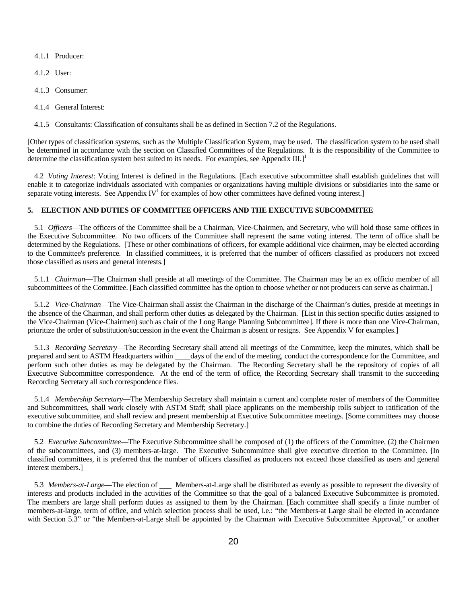4.1.1 Producer:

- 4.1.2 User:
- 4.1.3 Consumer:
- 4.1.4 General Interest:

4.1.5 Consultants: Classification of consultants shall be as defined in Section 7.2 of the Regulations.

[Other types of classification systems, such as the Multiple Classification System, may be used. The classification system to be used shall be determined in accordance with the section on Classified Committees of the Regulations. It is the responsibility of the Committee to determine the classification system best suited to its needs. For examples, see Appendix III.]<sup>1</sup>

 4.2 *Voting Interest*: Voting Interest is defined in the Regulations. [Each executive subcommittee shall establish guidelines that will enable it to categorize individuals associated with companies or organizations having multiple divisions or subsidiaries into the same or separate voting interests. See Appendix  $IV<sup>1</sup>$  for examples of how other committees have defined voting interest.]

# **5. ELECTION AND DUTIES OF COMMITTEE OFFICERS AND THE EXECUTIVE SUBCOMMITEE**

 5.1 *Officers*—The officers of the Committee shall be a Chairman, Vice-Chairmen, and Secretary, who will hold those same offices in the Executive Subcommittee. No two officers of the Committee shall represent the same voting interest. The term of office shall be determined by the Regulations. [These or other combinations of officers, for example additional vice chairmen, may be elected according to the Committee's preference. In classified committees, it is preferred that the number of officers classified as producers not exceed those classified as users and general interests.]

 5.1.1 *Chairman*—The Chairman shall preside at all meetings of the Committee. The Chairman may be an ex officio member of all subcommittees of the Committee. [Each classified committee has the option to choose whether or not producers can serve as chairman.]

 5.1.2 *Vice-Chairman*—The Vice-Chairman shall assist the Chairman in the discharge of the Chairman's duties, preside at meetings in the absence of the Chairman, and shall perform other duties as delegated by the Chairman. [List in this section specific duties assigned to the Vice-Chairman (Vice-Chairmen) such as chair of the Long Range Planning Subcommittee]. If there is more than one Vice-Chairman, prioritize the order of substitution/succession in the event the Chairman is absent or resigns. See Appendix V for examples.]

 5.1.3 *Recording Secretary*—The Recording Secretary shall attend all meetings of the Committee, keep the minutes, which shall be prepared and sent to ASTM Headquarters within days of the end of the meeting, conduct the correspondence for the Committee, and perform such other duties as may be delegated by the Chairman. The Recording Secretary shall be the repository of copies of all Executive Subcommittee correspondence. At the end of the term of office, the Recording Secretary shall transmit to the succeeding Recording Secretary all such correspondence files.

 5.1.4 *Membership Secretary*—The Membership Secretary shall maintain a current and complete roster of members of the Committee and Subcommittees, shall work closely with ASTM Staff; shall place applicants on the membership rolls subject to ratification of the executive subcommittee, and shall review and present membership at Executive Subcommittee meetings. [Some committees may choose to combine the duties of Recording Secretary and Membership Secretary.]

 5.2 *Executive Subcommittee*—The Executive Subcommittee shall be composed of (1) the officers of the Committee, (2) the Chairmen of the subcommittees, and (3) members-at-large. The Executive Subcommittee shall give executive direction to the Committee. [In classified committees, it is preferred that the number of officers classified as producers not exceed those classified as users and general interest members.]

5.3 Members-at-Large—The election of Members-at-Large shall be distributed as evenly as possible to represent the diversity of interests and products included in the activities of the Committee so that the goal of a balanced Executive Subcommittee is promoted. The members are large shall perform duties as assigned to them by the Chairman. [Each committee shall specify a finite number of members-at-large, term of office, and which selection process shall be used, i.e.: "the Members-at Large shall be elected in accordance with Section 5.3" or "the Members-at-Large shall be appointed by the Chairman with Executive Subcommittee Approval," or another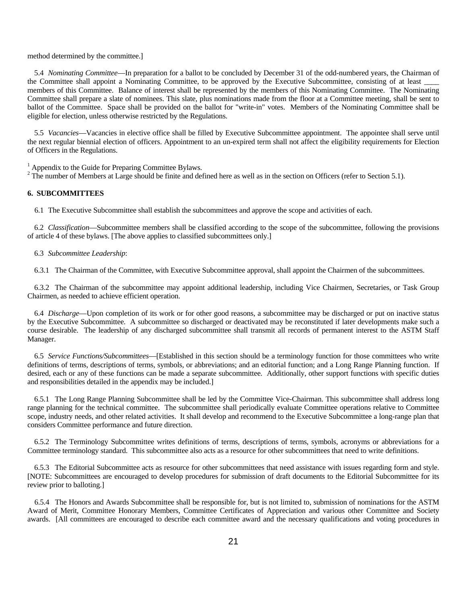#### method determined by the committee.]

 5.4 *Nominating Committee*—In preparation for a ballot to be concluded by December 31 of the odd-numbered years, the Chairman of the Committee shall appoint a Nominating Committee, to be approved by the Executive Subcommittee, consisting of at least \_ members of this Committee. Balance of interest shall be represented by the members of this Nominating Committee. The Nominating Committee shall prepare a slate of nominees. This slate, plus nominations made from the floor at a Committee meeting, shall be sent to ballot of the Committee. Space shall be provided on the ballot for "write-in" votes. Members of the Nominating Committee shall be eligible for election, unless otherwise restricted by the Regulations.

 5.5 *Vacancies*—Vacancies in elective office shall be filled by Executive Subcommittee appointment. The appointee shall serve until the next regular biennial election of officers. Appointment to an un-expired term shall not affect the eligibility requirements for Election of Officers in the Regulations.

<sup>1</sup> Appendix to the Guide for Preparing Committee Bylaws.

 $2^2$  The number of Members at Large should be finite and defined here as well as in the section on Officers (refer to Section 5.1).

# **6. SUBCOMMITTEES**

6.1 The Executive Subcommittee shall establish the subcommittees and approve the scope and activities of each.

 6.2 *Classification*—Subcommittee members shall be classified according to the scope of the subcommittee, following the provisions of article 4 of these bylaws. [The above applies to classified subcommittees only.]

6.3 *Subcommittee Leadership*:

6.3.1 The Chairman of the Committee, with Executive Subcommittee approval, shall appoint the Chairmen of the subcommittees.

 6.3.2 The Chairman of the subcommittee may appoint additional leadership, including Vice Chairmen, Secretaries, or Task Group Chairmen, as needed to achieve efficient operation.

 6.4 *Discharge*—Upon completion of its work or for other good reasons, a subcommittee may be discharged or put on inactive status by the Executive Subcommittee. A subcommittee so discharged or deactivated may be reconstituted if later developments make such a course desirable. The leadership of any discharged subcommittee shall transmit all records of permanent interest to the ASTM Staff Manager.

 6.5 *Service Functions/Subcommittees*—[Established in this section should be a terminology function for those committees who write definitions of terms, descriptions of terms, symbols, or abbreviations; and an editorial function; and a Long Range Planning function. If desired, each or any of these functions can be made a separate subcommittee. Additionally, other support functions with specific duties and responsibilities detailed in the appendix may be included.]

 6.5.1 The Long Range Planning Subcommittee shall be led by the Committee Vice-Chairman. This subcommittee shall address long range planning for the technical committee. The subcommittee shall periodically evaluate Committee operations relative to Committee scope, industry needs, and other related activities. It shall develop and recommend to the Executive Subcommittee a long-range plan that considers Committee performance and future direction.

 6.5.2 The Terminology Subcommittee writes definitions of terms, descriptions of terms, symbols, acronyms or abbreviations for a Committee terminology standard. This subcommittee also acts as a resource for other subcommittees that need to write definitions.

 6.5.3 The Editorial Subcommittee acts as resource for other subcommittees that need assistance with issues regarding form and style. [NOTE: Subcommittees are encouraged to develop procedures for submission of draft documents to the Editorial Subcommittee for its review prior to balloting.]

 6.5.4 The Honors and Awards Subcommittee shall be responsible for, but is not limited to, submission of nominations for the ASTM Award of Merit, Committee Honorary Members, Committee Certificates of Appreciation and various other Committee and Society awards. [All committees are encouraged to describe each committee award and the necessary qualifications and voting procedures in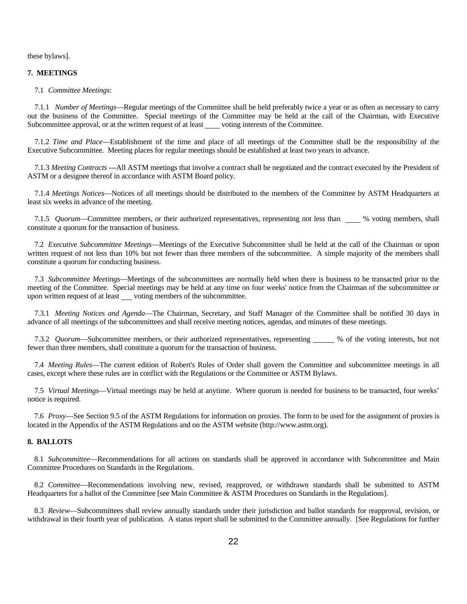these bylaws].

## **7. MEETINGS**

7.1 *Committee Meetings*:

 7.1.1 *Number of Meetings*—Regular meetings of the Committee shall be held preferably twice a year or as often as necessary to carry out the business of the Committee. Special meetings of the Committee may be held at the call of the Chairman, with Executive Subcommittee approval, or at the written request of at least voting interests of the Committee.

 7.1.2 *Time and Place*—Establishment of the time and place of all meetings of the Committee shall be the responsibility of the Executive Subcommittee. Meeting places for regular meetings should be established at least two years in advance.

 7.1.3 *Meeting Contracts* ---All ASTM meetings that involve a contract shall be negotiated and the contract executed by the President of ASTM or a designee thereof in accordance with ASTM Board policy.

 7.1.4 *Meetings Notices*—Notices of all meetings should be distributed to the members of the Committee by ASTM Headquarters at least six weeks in advance of the meeting.

7.1.5 *Quorum*—Committee members, or their authorized representatives, representing not less than we worting members, shall constitute a quorum for the transaction of business.

 7.2 *Executive Subcommittee Meetings*—Meetings of the Executive Subcommittee shall be held at the call of the Chairman or upon written request of not less than 10% but not fewer than three members of the subcommittee. A simple majority of the members shall constitute a quorum for conducting business.

 7.3 *Subcommittee Meetings*—Meetings of the subcommittees are normally held when there is business to be transacted prior to the meeting of the Committee. Special meetings may be held at any time on four weeks' notice from the Chairman of the subcommittee or upon written request of at least \_\_\_\_ voting members of the subcommittee.

 7.3.1 *Meeting Notices and Agenda*—The Chairman, Secretary, and Staff Manager of the Committee shall be notified 30 days in advance of all meetings of the subcommittees and shall receive meeting notices, agendas, and minutes of these meetings.

7.3.2 *Quorum*—Subcommittee members, or their authorized representatives, representing \_\_\_\_\_ % of the voting interests, but not fewer than three members, shall constitute a quorum for the transaction of business.

 7.4 *Meeting Rules*—The current edition of Robert's Rules of Order shall govern the Committee and subcommittee meetings in all cases, except where these rules are in conflict with the Regulations or the Committee or ASTM Bylaws.

 7.5 *Virtual Meetings*—Virtual meetings may be held at anytime. Where quorum is needed for business to be transacted, four weeks' notice is required.

 7.6 *Proxy*—See Section 9.5 of the ASTM Regulations for information on proxies. The form to be used for the assignment of proxies is located in the Appendix of the ASTM Regulations and on the ASTM website (http://www.astm.org).

# **8. BALLOTS**

 8.1 *Subcommittee*—Recommendations for all actions on standards shall be approved in accordance with Subcommittee and Main Committee Procedures on Standards in the Regulations.

 8.2 *Committee*—Recommendations involving new, revised, reapproved, or withdrawn standards shall be submitted to ASTM Headquarters for a ballot of the Committee [see Main Committee & ASTM Procedures on Standards in the Regulations].

 8.3 *Review*—Subcommittees shall review annually standards under their jurisdiction and ballot standards for reapproval, revision, or withdrawal in their fourth year of publication. A status report shall be submitted to the Committee annually. [See Regulations for further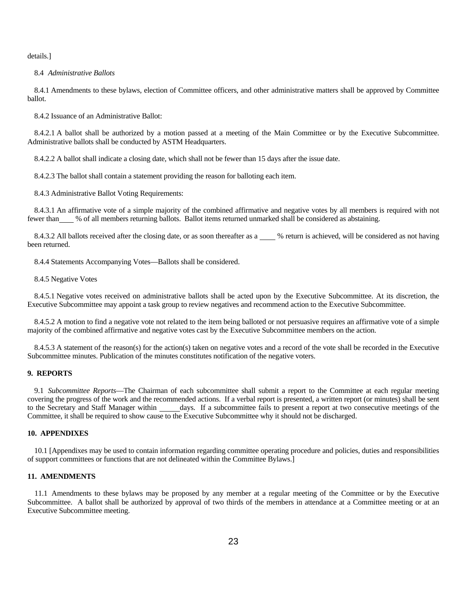details.]

#### 8.4 *Administrative Ballots*

8.4.1 Amendments to these bylaws, election of Committee officers, and other administrative matters shall be approved by Committee ballot.

8.4.2 Issuance of an Administrative Ballot:

8.4.2.1 A ballot shall be authorized by a motion passed at a meeting of the Main Committee or by the Executive Subcommittee. Administrative ballots shall be conducted by ASTM Headquarters.

8.4.2.2 A ballot shall indicate a closing date, which shall not be fewer than 15 days after the issue date.

8.4.2.3 The ballot shall contain a statement providing the reason for balloting each item.

8.4.3 Administrative Ballot Voting Requirements:

8.4.3.1 An affirmative vote of a simple majority of the combined affirmative and negative votes by all members is required with not fewer than % of all members returning ballots. Ballot items returned unmarked shall be considered as abstaining.

8.4.3.2 All ballots received after the closing date, or as soon thereafter as a  $\_\_\_\$ % return is achieved, will be considered as not having been returned.

8.4.4 Statements Accompanying Votes—Ballots shall be considered.

8.4.5 Negative Votes

8.4.5.1 Negative votes received on administrative ballots shall be acted upon by the Executive Subcommittee. At its discretion, the Executive Subcommittee may appoint a task group to review negatives and recommend action to the Executive Subcommittee.

8.4.5.2 A motion to find a negative vote not related to the item being balloted or not persuasive requires an affirmative vote of a simple majority of the combined affirmative and negative votes cast by the Executive Subcommittee members on the action.

8.4.5.3 A statement of the reason(s) for the action(s) taken on negative votes and a record of the vote shall be recorded in the Executive Subcommittee minutes. Publication of the minutes constitutes notification of the negative voters.

# **9. REPORTS**

 9.1 *Subcommittee Reports*—The Chairman of each subcommittee shall submit a report to the Committee at each regular meeting covering the progress of the work and the recommended actions. If a verbal report is presented, a written report (or minutes) shall be sent to the Secretary and Staff Manager within days. If a subcommittee fails to present a report at two consecutive meetings of the Committee, it shall be required to show cause to the Executive Subcommittee why it should not be discharged.

# **10. APPENDIXES**

 10.1 [Appendixes may be used to contain information regarding committee operating procedure and policies, duties and responsibilities of support committees or functions that are not delineated within the Committee Bylaws.]

# **11. AMENDMENTS**

 11.1 Amendments to these bylaws may be proposed by any member at a regular meeting of the Committee or by the Executive Subcommittee. A ballot shall be authorized by approval of two thirds of the members in attendance at a Committee meeting or at an Executive Subcommittee meeting.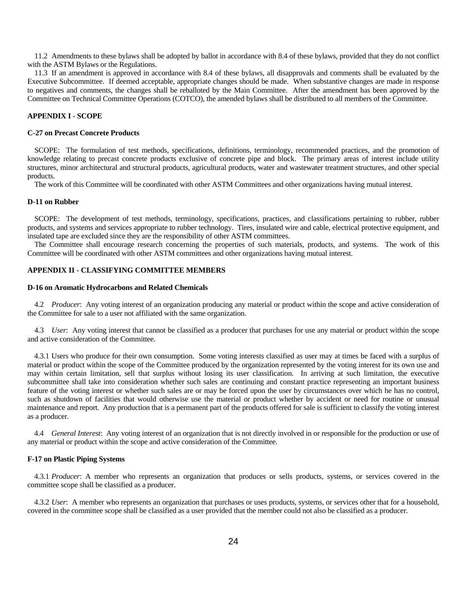11.2 Amendments to these bylaws shall be adopted by ballot in accordance with 8.4 of these bylaws, provided that they do not conflict with the ASTM Bylaws or the Regulations.

 11.3 If an amendment is approved in accordance with 8.4 of these bylaws, all disapprovals and comments shall be evaluated by the Executive Subcommittee. If deemed acceptable, appropriate changes should be made. When substantive changes are made in response to negatives and comments, the changes shall be reballoted by the Main Committee. After the amendment has been approved by the Committee on Technical Committee Operations (COTCO), the amended bylaws shall be distributed to all members of the Committee.

# **APPENDIX I - SCOPE**

#### **C-27 on Precast Concrete Products**

 SCOPE: The formulation of test methods, specifications, definitions, terminology, recommended practices, and the promotion of knowledge relating to precast concrete products exclusive of concrete pipe and block. The primary areas of interest include utility structures, minor architectural and structural products, agricultural products, water and wastewater treatment structures, and other special products.

The work of this Committee will be coordinated with other ASTM Committees and other organizations having mutual interest.

# **D-11 on Rubber**

 SCOPE: The development of test methods, terminology, specifications, practices, and classifications pertaining to rubber, rubber products, and systems and services appropriate to rubber technology. Tires, insulated wire and cable, electrical protective equipment, and insulated tape are excluded since they are the responsibility of other ASTM committees.

 The Committee shall encourage research concerning the properties of such materials, products, and systems. The work of this Committee will be coordinated with other ASTM committees and other organizations having mutual interest.

# **APPENDIX II - CLASSIFYING COMMITTEE MEMBERS**

#### **D-16 on Aromatic Hydrocarbons and Related Chemicals**

 4.2 *Producer*: Any voting interest of an organization producing any material or product within the scope and active consideration of the Committee for sale to a user not affiliated with the same organization.

 4.3 *User*: Any voting interest that cannot be classified as a producer that purchases for use any material or product within the scope and active consideration of the Committee.

 4.3.1 Users who produce for their own consumption. Some voting interests classified as user may at times be faced with a surplus of material or product within the scope of the Committee produced by the organization represented by the voting interest for its own use and may within certain limitation, sell that surplus without losing its user classification. In arriving at such limitation, the executive subcommittee shall take into consideration whether such sales are continuing and constant practice representing an important business feature of the voting interest or whether such sales are or may be forced upon the user by circumstances over which he has no control, such as shutdown of facilities that would otherwise use the material or product whether by accident or need for routine or unusual maintenance and report. Any production that is a permanent part of the products offered for sale is sufficient to classify the voting interest as a producer.

 4.4 *General Interest*: Any voting interest of an organization that is not directly involved in or responsible for the production or use of any material or product within the scope and active consideration of the Committee.

#### **F-17 on Plastic Piping Systems**

 4.3.1 *Producer*: A member who represents an organization that produces or sells products, systems, or services covered in the committee scope shall be classified as a producer.

 4.3.2 *User*: A member who represents an organization that purchases or uses products, systems, or services other that for a household, covered in the committee scope shall be classified as a user provided that the member could not also be classified as a producer.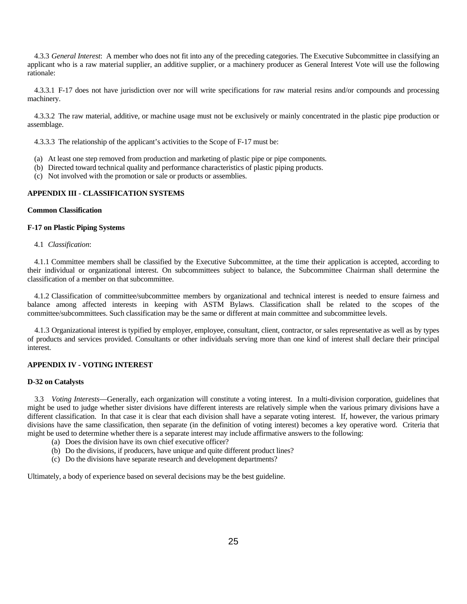4.3.3 *General Interest*: A member who does not fit into any of the preceding categories. The Executive Subcommittee in classifying an applicant who is a raw material supplier, an additive supplier, or a machinery producer as General Interest Vote will use the following rationale:

 4.3.3.1 F-17 does not have jurisdiction over nor will write specifications for raw material resins and/or compounds and processing machinery.

 4.3.3.2 The raw material, additive, or machine usage must not be exclusively or mainly concentrated in the plastic pipe production or assemblage.

4.3.3.3 The relationship of the applicant's activities to the Scope of F-17 must be:

- (a) At least one step removed from production and marketing of plastic pipe or pipe components.
- (b) Directed toward technical quality and performance characteristics of plastic piping products.
- (c) Not involved with the promotion or sale or products or assemblies.

# **APPENDIX III - CLASSIFICATION SYSTEMS**

# **Common Classification**

#### **F-17 on Plastic Piping Systems**

4.1 *Classification*:

 4.1.1 Committee members shall be classified by the Executive Subcommittee, at the time their application is accepted, according to their individual or organizational interest. On subcommittees subject to balance, the Subcommittee Chairman shall determine the classification of a member on that subcommittee.

 4.1.2 Classification of committee/subcommittee members by organizational and technical interest is needed to ensure fairness and balance among affected interests in keeping with ASTM Bylaws. Classification shall be related to the scopes of the committee/subcommittees. Such classification may be the same or different at main committee and subcommittee levels.

 4.1.3 Organizational interest is typified by employer, employee, consultant, client, contractor, or sales representative as well as by types of products and services provided. Consultants or other individuals serving more than one kind of interest shall declare their principal interest.

# **APPENDIX IV - VOTING INTEREST**

# **D-32 on Catalysts**

 3.3 *Voting Interests*—Generally, each organization will constitute a voting interest. In a multi-division corporation, guidelines that might be used to judge whether sister divisions have different interests are relatively simple when the various primary divisions have a different classification. In that case it is clear that each division shall have a separate voting interest. If, however, the various primary divisions have the same classification, then separate (in the definition of voting interest) becomes a key operative word. Criteria that might be used to determine whether there is a separate interest may include affirmative answers to the following:

- (a) Does the division have its own chief executive officer?
- (b) Do the divisions, if producers, have unique and quite different product lines?
- (c) Do the divisions have separate research and development departments?

Ultimately, a body of experience based on several decisions may be the best guideline.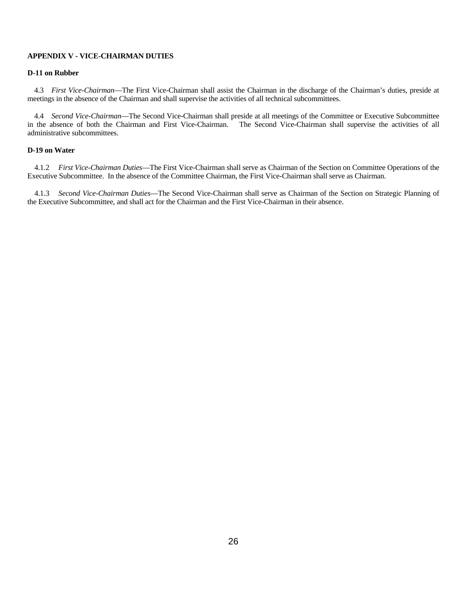# **APPENDIX V - VICE-CHAIRMAN DUTIES**

# **D-11 on Rubber**

 4.3 *First Vice-Chairman*—The First Vice-Chairman shall assist the Chairman in the discharge of the Chairman's duties, preside at meetings in the absence of the Chairman and shall supervise the activities of all technical subcommittees.

4.4 *Second Vice-Chairman*—The Second Vice-Chairman shall preside at all meetings of the Committee or Executive Subcommittee in the absence of both the Chairman and First Vice-Chairman. The Second Vice-Chairman shall supervise the activities of all administrative subcommittees.

### **D-19 on Water**

 4.1.2 *First Vice-Chairman Duties*—The First Vice-Chairman shall serve as Chairman of the Section on Committee Operations of the Executive Subcommittee. In the absence of the Committee Chairman, the First Vice-Chairman shall serve as Chairman.

 4.1.3 *Second Vice-Chairman Duties*—The Second Vice-Chairman shall serve as Chairman of the Section on Strategic Planning of the Executive Subcommittee, and shall act for the Chairman and the First Vice-Chairman in their absence.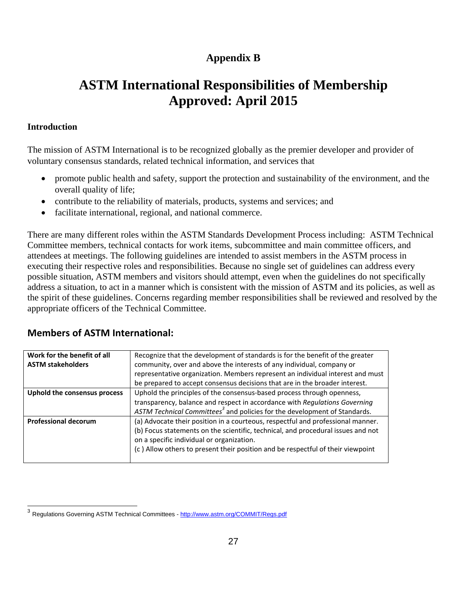# **Appendix B**

# **ASTM International Responsibilities of Membership Approved: April 2015**

# **Introduction**

l

The mission of ASTM International is to be recognized globally as the premier developer and provider of voluntary consensus standards, related technical information, and services that

- promote public health and safety, support the protection and sustainability of the environment, and the overall quality of life;
- contribute to the reliability of materials, products, systems and services; and
- facilitate international, regional, and national commerce.

There are many different roles within the ASTM Standards Development Process including: ASTM Technical Committee members, technical contacts for work items, subcommittee and main committee officers, and attendees at meetings. The following guidelines are intended to assist members in the ASTM process in executing their respective roles and responsibilities. Because no single set of guidelines can address every possible situation, ASTM members and visitors should attempt, even when the guidelines do not specifically address a situation, to act in a manner which is consistent with the mission of ASTM and its policies, as well as the spirit of these guidelines. Concerns regarding member responsibilities shall be reviewed and resolved by the appropriate officers of the Technical Committee.

# **Members of ASTM International:**

| Work for the benefit of all  | Recognize that the development of standards is for the benefit of the greater         |
|------------------------------|---------------------------------------------------------------------------------------|
| <b>ASTM stakeholders</b>     | community, over and above the interests of any individual, company or                 |
|                              | representative organization. Members represent an individual interest and must        |
|                              | be prepared to accept consensus decisions that are in the broader interest.           |
| Uphold the consensus process | Uphold the principles of the consensus-based process through openness,                |
|                              | transparency, balance and respect in accordance with Regulations Governing            |
|                              | ASTM Technical Committees <sup>3</sup> and policies for the development of Standards. |
| <b>Professional decorum</b>  | (a) Advocate their position in a courteous, respectful and professional manner.       |
|                              | (b) Focus statements on the scientific, technical, and procedural issues and not      |
|                              | on a specific individual or organization.                                             |
|                              | (c) Allow others to present their position and be respectful of their viewpoint       |
|                              |                                                                                       |

<sup>&</sup>lt;sup>3</sup> Regulations Governing ASTM Technical Committees - http://www.astm.org/COMMIT/Regs.pdf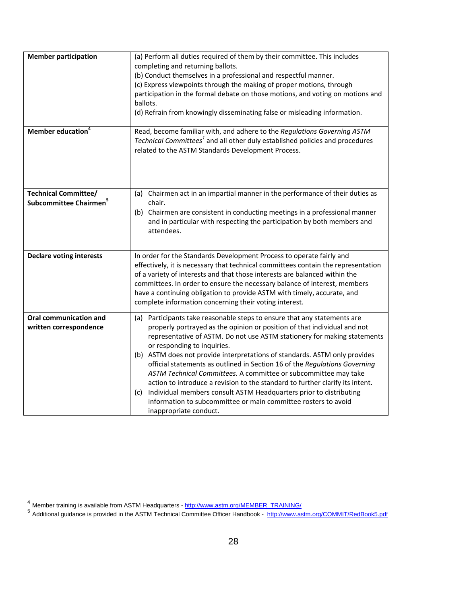| <b>Member participation</b>                                       | (a) Perform all duties required of them by their committee. This includes<br>completing and returning ballots.<br>(b) Conduct themselves in a professional and respectful manner.<br>(c) Express viewpoints through the making of proper motions, through<br>participation in the formal debate on those motions, and voting on motions and<br>ballots.<br>(d) Refrain from knowingly disseminating false or misleading information.                                                                                                                                                                                                                                                                                                                  |
|-------------------------------------------------------------------|-------------------------------------------------------------------------------------------------------------------------------------------------------------------------------------------------------------------------------------------------------------------------------------------------------------------------------------------------------------------------------------------------------------------------------------------------------------------------------------------------------------------------------------------------------------------------------------------------------------------------------------------------------------------------------------------------------------------------------------------------------|
| Member education <sup>4</sup>                                     | Read, become familiar with, and adhere to the Regulations Governing ASTM<br>Technical Committees <sup>1</sup> and all other duly established policies and procedures<br>related to the ASTM Standards Development Process.                                                                                                                                                                                                                                                                                                                                                                                                                                                                                                                            |
| <b>Technical Committee/</b><br>Subcommittee Chairmen <sup>5</sup> | (a) Chairmen act in an impartial manner in the performance of their duties as<br>chair.<br>(b) Chairmen are consistent in conducting meetings in a professional manner<br>and in particular with respecting the participation by both members and<br>attendees.                                                                                                                                                                                                                                                                                                                                                                                                                                                                                       |
| <b>Declare voting interests</b>                                   | In order for the Standards Development Process to operate fairly and<br>effectively, it is necessary that technical committees contain the representation<br>of a variety of interests and that those interests are balanced within the<br>committees. In order to ensure the necessary balance of interest, members<br>have a continuing obligation to provide ASTM with timely, accurate, and<br>complete information concerning their voting interest.                                                                                                                                                                                                                                                                                             |
| <b>Oral communication and</b><br>written correspondence           | (a) Participants take reasonable steps to ensure that any statements are<br>properly portrayed as the opinion or position of that individual and not<br>representative of ASTM. Do not use ASTM stationery for making statements<br>or responding to inquiries.<br>(b) ASTM does not provide interpretations of standards. ASTM only provides<br>official statements as outlined in Section 16 of the Regulations Governing<br>ASTM Technical Committees. A committee or subcommittee may take<br>action to introduce a revision to the standard to further clarify its intent.<br>(c) Individual members consult ASTM Headquarters prior to distributing<br>information to subcommittee or main committee rosters to avoid<br>inappropriate conduct. |

l

<sup>&</sup>lt;sup>4</sup> Member training is available from ASTM Headquarters - http://www.astm.org/MEMBER\_TRAINING/

<sup>5&</sup>lt;br>Additional guidance is provided in the ASTM Technical Committee Officer Handbook - http://www.astm.org/COMMIT/RedBook5.pdf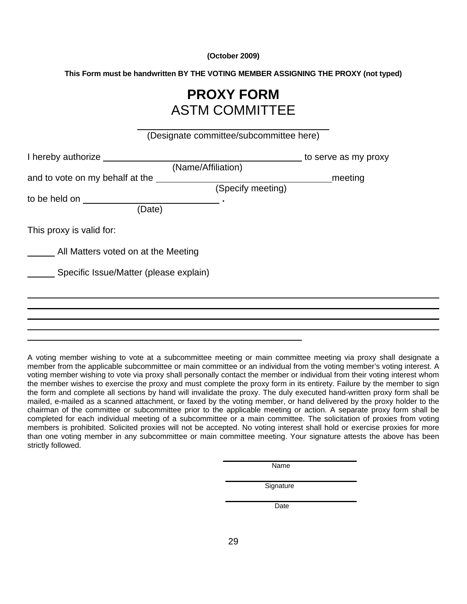**(October 2009)** 

**This Form must be handwritten BY THE VOTING MEMBER ASSIGNING THE PROXY (not typed)**

# **PROXY FORM**  ASTM COMMITTEE

|                                        | (Designate committee/subcommittee here) |                      |
|----------------------------------------|-----------------------------------------|----------------------|
| I hereby authorize                     |                                         | to serve as my proxy |
|                                        | (Name/Affiliation)                      |                      |
| and to vote on my behalf at the        |                                         | meeting              |
|                                        | (Specify meeting)                       |                      |
| to be held on to be held on            |                                         |                      |
| (Date)                                 |                                         |                      |
| This proxy is valid for:               |                                         |                      |
| All Matters voted on at the Meeting    |                                         |                      |
| Specific Issue/Matter (please explain) |                                         |                      |
|                                        |                                         |                      |
|                                        |                                         |                      |
|                                        |                                         |                      |
|                                        |                                         |                      |
|                                        |                                         |                      |

A voting member wishing to vote at a subcommittee meeting or main committee meeting via proxy shall designate a member from the applicable subcommittee or main committee or an individual from the voting member's voting interest. A voting member wishing to vote via proxy shall personally contact the member or individual from their voting interest whom the member wishes to exercise the proxy and must complete the proxy form in its entirety. Failure by the member to sign the form and complete all sections by hand will invalidate the proxy. The duly executed hand-written proxy form shall be mailed, e-mailed as a scanned attachment, or faxed by the voting member, or hand delivered by the proxy holder to the chairman of the committee or subcommittee prior to the applicable meeting or action. A separate proxy form shall be completed for each individual meeting of a subcommittee or a main committee. The solicitation of proxies from voting members is prohibited. Solicited proxies will not be accepted. No voting interest shall hold or exercise proxies for more than one voting member in any subcommittee or main committee meeting. Your signature attests the above has been strictly followed.

| vame |
|------|
|      |

*Signature* **Signature** 

**Date**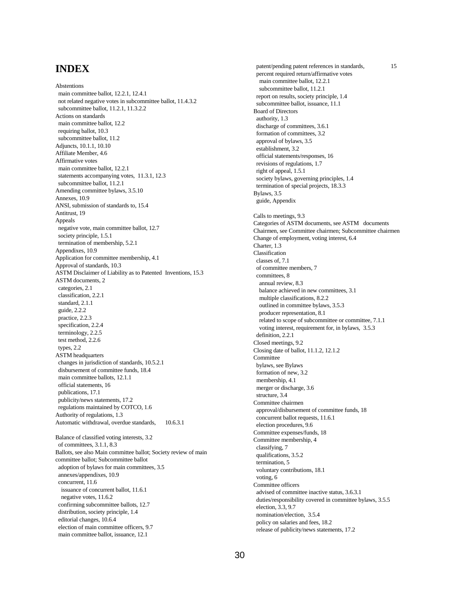# **INDEX**

Abstentions main committee ballot, 12.2.1, 12.4.1 not related negative votes in subcommittee ballot, 11.4.3.2 subcommittee ballot, 11.2.1, 11.3.2.2 Actions on standards main committee ballot, 12.2 requiring ballot, 10.3 subcommittee ballot, 11.2 Adjuncts, 10.1.1, 10.10 Affiliate Member, 4.6 Affirmative votes main committee ballot, 12.2.1 statements accompanying votes, 11.3.1, 12.3 subcommittee ballot, 11.2.1 Amending committee bylaws, 3.5.10 Annexes, 10.9 ANSI, submission of standards to, 15.4 Antitrust, 19 Appeals negative vote, main committee ballot, 12.7 society principle, 1.5.1 termination of membership, 5.2.1 Appendixes, 10.9 Application for committee membership, 4.1 Approval of standards, 10.3 ASTM Disclaimer of Liability as to Patented Inventions, 15.3 ASTM documents, 2 categories, 2.1 classification, 2.2.1 standard, 2.1.1 guide, 2.2.2 practice, 2.2.3 specification, 2.2.4 terminology, 2.2.5 test method, 2.2.6 types, 2.2 ASTM headquarters changes in jurisdiction of standards, 10.5.2.1 disbursement of committee funds, 18.4 main committee ballots, 12.1.1 official statements, 16 publications, 17.1 publicity/news statements, 17.2 regulations maintained by COTCO, 1.6 Authority of regulations, 1.3 Automatic withdrawal, overdue standards, 10.6.3.1 Balance of classified voting interests, 3.2 of committees, 3.1.1, 8.3 Ballots, see also Main committee ballot; Society review of main committee ballot; Subcommittee ballot adoption of bylaws for main committees, 3.5 annexes/appendixes, 10.9 concurrent, 11.6 issuance of concurrent ballot, 11.6.1 negative votes, 11.6.2 confirming subcommittee ballots, 12.7 distribution, society principle, 1.4 editorial changes, 10.6.4 election of main committee officers, 9.7 main committee ballot, issuance, 12.1

 patent/pending patent references in standards, 15 percent required return/affirmative votes main committee ballot, 12.2.1 subcommittee ballot, 11.2.1 report on results, society principle, 1.4 subcommittee ballot, issuance, 11.1 Board of Directors authority, 1.3 discharge of committees, 3.6.1 formation of committees, 3.2 approval of bylaws, 3.5 establishment, 3.2 official statements/responses, 16 revisions of regulations, 1.7 right of appeal, 1.5.1 society bylaws, governing principles, 1.4 termination of special projects, 18.3.3 Bylaws, 3.5 guide, Appendix Calls to meetings, 9.3 Categories of ASTM documents, see ASTM documents Chairmen, see Committee chairmen; Subcommittee chairmen Change of employment, voting interest, 6.4 Charter, 1.3 Classification classes of, 7.1 of committee members, 7 committees, 8 annual review, 8.3 balance achieved in new committees, 3.1 multiple classifications, 8.2.2 outlined in committee bylaws, 3.5.3 producer representation, 8.1 related to scope of subcommittee or committee, 7.1.1 voting interest, requirement for, in bylaws, 3.5.3 definition, 2.2.1 Closed meetings, 9.2 Closing date of ballot, 11.1.2, 12.1.2 **Committee**  bylaws, see Bylaws formation of new, 3.2 membership, 4.1 merger or discharge, 3.6 structure, 3.4 Committee chairmen approval/disbursement of committee funds, 18 concurrent ballot requests, 11.6.1 election procedures, 9.6 Committee expenses/funds, 18 Committee membership, 4 classifying, 7 qualifications, 3.5.2 termination, 5 voluntary contributions, 18.1 voting, 6 Committee officers advised of committee inactive status, 3.6.3.1 duties/responsibility covered in committee bylaws, 3.5.5 election, 3.3, 9.7 nomination/election, 3.5.4 policy on salaries and fees, 18.2 release of publicity/news statements, 17.2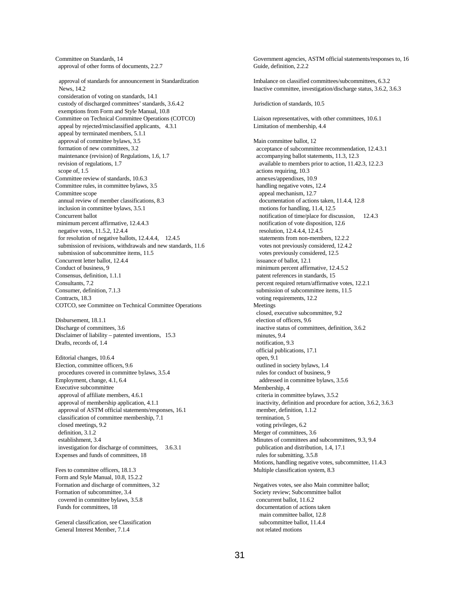Committee on Standards, 14 approval of other forms of documents, 2.2.7 approval of standards for announcement in Standardization News, 14.2 consideration of voting on standards, 14.1 custody of discharged committees' standards, 3.6.4.2 exemptions from Form and Style Manual, 10.8 Committee on Technical Committee Operations (COTCO) appeal by rejected/misclassified applicants, 4.3.1 appeal by terminated members, 5.1.1 approval of committee bylaws, 3.5 formation of new committees, 3.2 maintenance (revision) of Regulations, 1.6, 1.7 revision of regulations, 1.7 scope of, 1.5 Committee review of standards, 10.6.3 Committee rules, in committee bylaws, 3.5 Committee scope annual review of member classifications, 8.3 inclusion in committee bylaws, 3.5.1 Concurrent ballot minimum percent affirmative, 12.4.4.3 negative votes, 11.5.2, 12.4.4 for resolution of negative ballots, 12.4.4.4, 12.4.5 submission of revisions, withdrawals and new standards, 11.6 submission of subcommittee items, 11.5 Concurrent letter ballot, 12.4.4 Conduct of business, 9 Consensus, definition, 1.1.1 Consultants, 7.2 Consumer, definition, 7.1.3 Contracts, 18.3 COTCO, see Committee on Technical Committee Operations Disbursement, 18.1.1 Discharge of committees, 3.6 Disclaimer of liability – patented inventions, 15.3 Drafts, records of, 1.4 Editorial changes, 10.6.4 Election, committee officers, 9.6 procedures covered in committee bylaws, 3.5.4 Employment, change, 4.1, 6.4 Executive subcommittee approval of affiliate members, 4.6.1 approval of membership application, 4.1.1 approval of ASTM official statements/responses, 16.1 classification of committee membership, 7.1 closed meetings, 9.2 definition, 3.1.2 establishment, 3.4 investigation for discharge of committees, 3.6.3.1 Expenses and funds of committees, 18

Fees to committee officers, 18.1.3 Form and Style Manual, 10.8, 15.2.2 Formation and discharge of committees, 3.2 Formation of subcommittee, 3.4 covered in committee bylaws, 3.5.8 Funds for committees, 18

General classification, see Classification General Interest Member, 7.1.4

Government agencies, ASTM official statements/responses to, 16 Guide, definition, 2.2.2 Imbalance on classified committees/subcommittees, 6.3.2 Inactive committee, investigation/discharge status, 3.6.2, 3.6.3 Jurisdiction of standards, 10.5 Liaison representatives, with other committees, 10.6.1 Limitation of membership, 4.4 Main committee ballot, 12 acceptance of subcommittee recommendation, 12.4.3.1 accompanying ballot statements, 11.3, 12.3 available to members prior to action, 11.42.3, 12.2.3 actions requiring, 10.3 annexes/appendixes, 10.9 handling negative votes, 12.4 appeal mechanism, 12.7 documentation of actions taken, 11.4.4, 12.8 motions for handling, 11.4, 12.5 notification of time/place for discussion, 12.4.3 notification of vote disposition, 12.6 resolution, 12.4.4.4, 12.4.5 statements from non-members, 12.2.2 votes not previously considered, 12.4.2 votes previously considered, 12.5 issuance of ballot, 12.1 minimum percent affirmative, 12.4.5.2 patent references in standards, 15 percent required return/affirmative votes, 12.2.1 submission of subcommittee items, 11.5 voting requirements, 12.2 Meetings closed, executive subcommittee, 9.2 election of officers, 9.6 inactive status of committees, definition, 3.6.2 minutes, 9.4 notification, 9.3 official publications, 17.1 open, 9.1 outlined in society bylaws, 1.4 rules for conduct of business, 9 addressed in committee bylaws, 3.5.6 Membership, 4 criteria in committee bylaws, 3.5.2 inactivity, definition and procedure for action, 3.6.2, 3.6.3 member, definition, 1.1.2 termination, 5 voting privileges, 6.2 Merger of committees, 3.6 Minutes of committees and subcommittees, 9.3, 9.4 publication and distribution, 1.4, 17.1 rules for submitting, 3.5.8 Motions, handling negative votes, subcommittee, 11.4.3 Multiple classification system, 8.3 Negatives votes, see also Main committee ballot; Society review; Subcommittee ballot concurrent ballot, 11.6.2 documentation of actions taken

 main committee ballot, 12.8 subcommittee ballot, 11.4.4 not related motions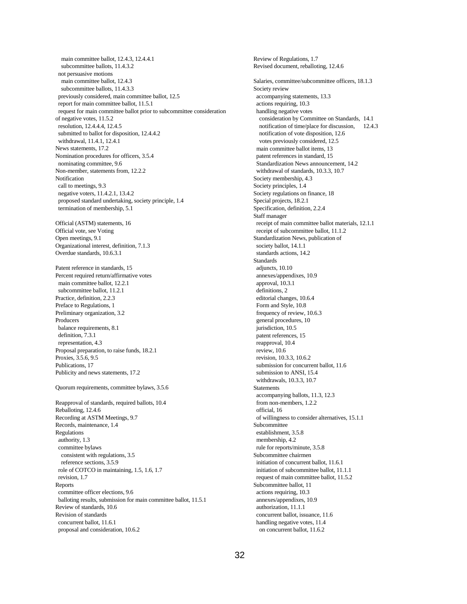main committee ballot, 12.4.3, 12.4.4.1 subcommittee ballots, 11.4.3.2 not persuasive motions main committee ballot, 12.4.3 subcommittee ballots, 11.4.3.3 previously considered, main committee ballot, 12.5 report for main committee ballot, 11.5.1 request for main committee ballot prior to subcommittee consideration of negative votes, 11.5.2 resolution, 12.4.4.4, 12.4.5 submitted to ballot for disposition, 12.4.4.2 withdrawal, 11.4.1, 12.4.1 News statements, 17.2 Nomination procedures for officers, 3.5.4 nominating committee, 9.6 Non-member, statements from, 12.2.2 Notification call to meetings, 9.3 negative voters, 11.4.2.1, 13.4.2 proposed standard undertaking, society principle, 1.4 termination of membership, 5.1 Official (ASTM) statements, 16 Official vote, see Voting Open meetings, 9.1 Organizational interest, definition, 7.1.3 Overdue standards, 10.6.3.1 Patent reference in standards, 15 Percent required return/affirmative votes main committee ballot, 12.2.1 subcommittee ballot, 11.2.1 Practice, definition, 2.2.3 Preface to Regulations, 1 Preliminary organization, 3.2 Producers balance requirements, 8.1 definition, 7.3.1 representation, 4.3 Proposal preparation, to raise funds, 18.2.1 Proxies, 3.5.6, 9.5 Publications, 17 Publicity and news statements, 17.2 Quorum requirements, committee bylaws, 3.5.6 Reapproval of standards, required ballots, 10.4 Reballoting, 12.4.6 Recording at ASTM Meetings, 9.7 Records, maintenance, 1.4 Regulations authority, 1.3 committee bylaws consistent with regulations, 3.5 reference sections, 3.5.9 role of COTCO in maintaining, 1.5, 1.6, 1.7 revision, 1.7 Reports committee officer elections, 9.6 balloting results, submission for main committee ballot, 11.5.1 Review of standards, 10.6 Revision of standards concurrent ballot, 11.6.1 proposal and consideration, 10.6.2

Review of Regulations, 1.7 Revised document, reballoting, 12.4.6 Salaries, committee/subcommittee officers, 18.1.3 Society review accompanying statements, 13.3 actions requiring, 10.3 handling negative votes consideration by Committee on Standards, 14.1 notification of time/place for discussion, 12.4.3 notification of vote disposition, 12.6 votes previously considered, 12.5 main committee ballot items, 13 patent references in standard, 15 Standardization News announcement, 14.2 withdrawal of standards, 10.3.3, 10.7 Society membership, 4.3 Society principles, 1.4 Society regulations on finance, 18 Special projects, 18.2.1 Specification, definition, 2.2.4 Staff manager receipt of main committee ballot materials, 12.1.1 receipt of subcommittee ballot, 11.1.2 Standardization News, publication of society ballot, 14.1.1 standards actions, 14.2 Standards adjuncts, 10.10 annexes/appendixes, 10.9 approval, 10.3.1 definitions, 2 editorial changes, 10.6.4 Form and Style, 10.8 frequency of review, 10.6.3 general procedures, 10 jurisdiction, 10.5 patent references, 15 reapproval, 10.4 review, 10.6 revision, 10.3.3, 10.6.2 submission for concurrent ballot, 11.6 submission to ANSI, 15.4 withdrawals, 10.3.3, 10.7 **Statements**  accompanying ballots, 11.3, 12.3 from non-members, 1.2.2 official, 16 of willingness to consider alternatives, 15.1.1 Subcommittee establishment, 3.5.8 membership, 4.2 rule for reports/minute, 3.5.8 Subcommittee chairmen initiation of concurrent ballot, 11.6.1 initiation of subcommittee ballot, 11.1.1 request of main committee ballot, 11.5.2 Subcommittee ballot, 11 actions requiring, 10.3 annexes/appendixes, 10.9 authorization, 11.1.1 concurrent ballot, issuance, 11.6 handling negative votes, 11.4 on concurrent ballot, 11.6.2